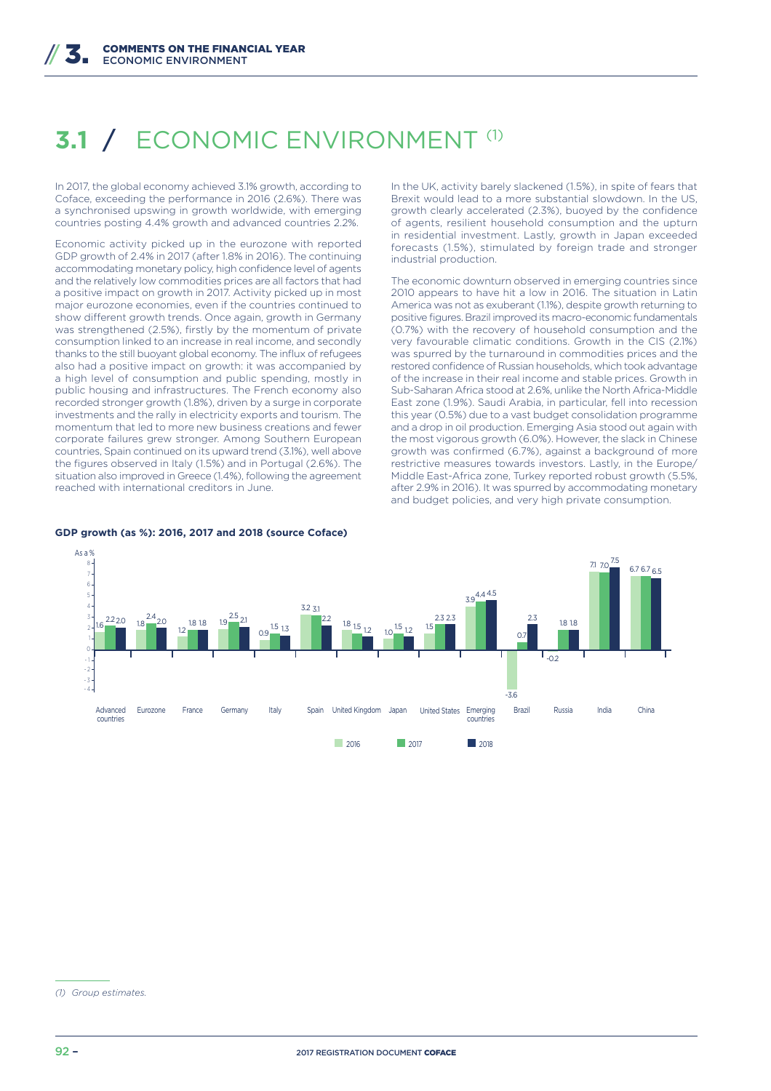## *3.1 ECONOMIC ENVIRONMENT*

In 2017, the global economy achieved 3.1% growth, according to Coface, exceeding the performance in 2016 (2.6%). There was a synchronised upswing in growth worldwide, with emerging countries posting 4.4% growth and advanced countries 2.2%.

Economic activity picked up in the eurozone with reported GDP growth of 2.4% in 2017 (after 1.8% in 2016). The continuing accommodating monetary policy, high confidence level of agents and the relatively low commodities prices are all factors that had a positive impact on growth in 2017. Activity picked up in most major eurozone economies, even if the countries continued to show different growth trends. Once again, growth in Germany was strengthened (2.5%), firstly by the momentum of private consumption linked to an increase in real income, and secondly thanks to the still buoyant global economy. The influx of refugees also had a positive impact on growth: it was accompanied by a high level of consumption and public spending, mostly in public housing and infrastructures. The French economy also recorded stronger growth (1.8%), driven by a surge in corporate investments and the rally in electricity exports and tourism. The momentum that led to more new business creations and fewer corporate failures grew stronger. Among Southern European countries, Spain continued on its upward trend (3.1%), well above the figures observed in Italy (1.5%) and in Portugal (2.6%). The situation also improved in Greece (1.4%), following the agreement reached with international creditors in June.

In the UK, activity barely slackened (1.5%), in spite of fears that Brexit would lead to a more substantial slowdown. In the US, growth clearly accelerated (2.3%), buoyed by the confidence of agents, resilient household consumption and the upturn in residential investment. Lastly, growth in Japan exceeded forecasts (1.5%), stimulated by foreign trade and stronger industrial production.

The economic downturn observed in emerging countries since 2010 appears to have hit a low in 2016. The situation in Latin America was not as exuberant (1.1%), despite growth returning to positive figures. Brazil improved its macro-economic fundamentals (0.7%) with the recovery of household consumption and the very favourable climatic conditions. Growth in the CIS (2.1%) was spurred by the turnaround in commodities prices and the restored confidence of Russian households, which took advantage of the increase in their real income and stable prices. Growth in Sub-Saharan Africa stood at 2.6%, unlike the North Africa-Middle East zone (1.9%). Saudi Arabia, in particular, fell into recession this year (0.5%) due to a vast budget consolidation programme and a drop in oil production. Emerging Asia stood out again with the most vigorous growth (6.0%). However, the slack in Chinese growth was confirmed (6.7%), against a background of more restrictive measures towards investors. Lastly, in the Europe/ Middle East-Africa zone, Turkey reported robust growth (5.5%, after 2.9% in 2016). It was spurred by accommodating monetary and budget policies, and very high private consumption.



#### **GDP growth (as %): 2016, 2017 and 2018 (source Coface)**

*<sup>(1)</sup> Group estimates.*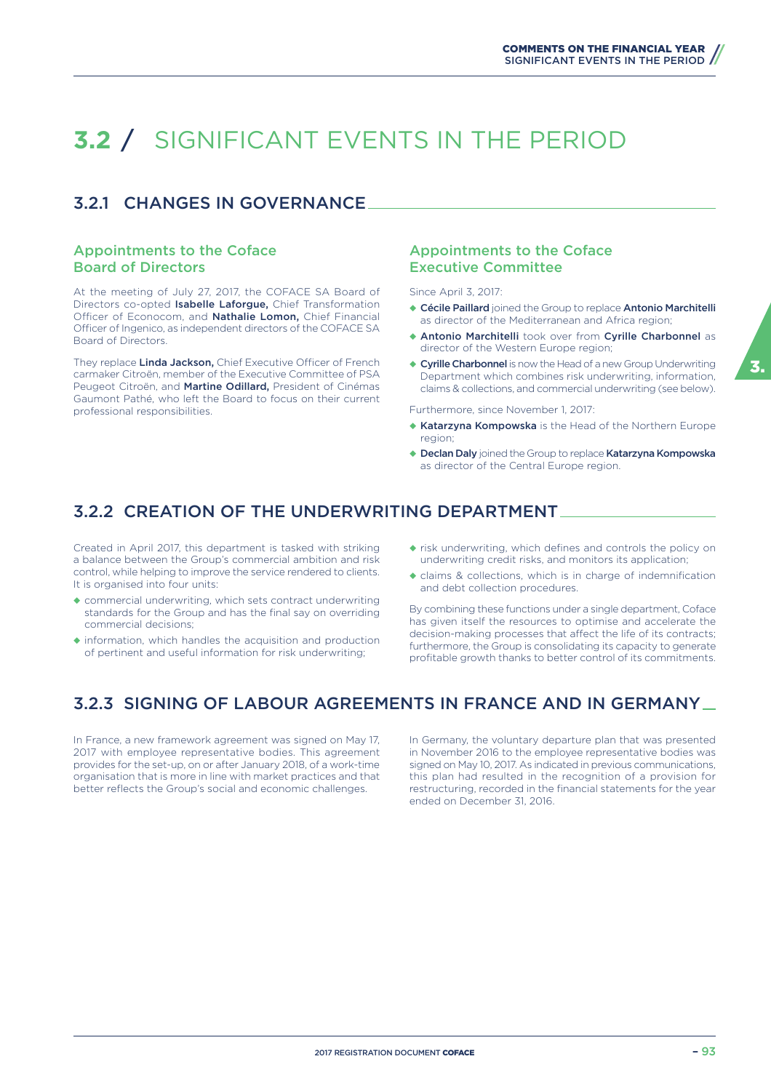# **3.2** / SIGNIFICANT EVENTS IN THE PERIOD

### 3.2.1 CHANGES IN GOVERNANCE

#### Appointments to the Coface Board of Directors

At the meeting of July 27, 2017, the COFACE SA Board of Directors co-opted Isabelle Laforgue, Chief Transformation Officer of Econocom, and Nathalie Lomon, Chief Financial Officer of Ingenico, as independent directors of the COFACE SA Board of Directors.

They replace Linda Jackson, Chief Executive Officer of French carmaker Citroën, member of the Executive Committee of PSA Peugeot Citroën, and Martine Odillard, President of Cinémas Gaumont Pathé, who left the Board to focus on their current professional responsibilities.

#### Appointments to the Coface Executive Committee

Since April 3, 2017:

- ◆ Cécile Paillard joined the Group to replace Antonio Marchitelli as director of the Mediterranean and Africa region;
- ◆ Antonio Marchitelli took over from Cyrille Charbonnel as director of the Western Europe region;
- ◆ Cyrille Charbonnel is now the Head of a new Group Underwriting Department which combines risk underwriting, information, claims & collections, and commercial underwriting (see below).

Furthermore, since November 1, 2017:

- ◆ Katarzyna Kompowska is the Head of the Northern Europe region;
- ◆ Declan Daly joined the Group to replace Katarzyna Kompowska as director of the Central Europe region.

### 3.2.2 CREATION OF THE UNDERWRITING DEPARTMENT

Created in April 2017, this department is tasked with striking a balance between the Group's commercial ambition and risk control, while helping to improve the service rendered to clients. It is organised into four units:

- ◆ commercial underwriting, which sets contract underwriting standards for the Group and has the final say on overriding commercial decisions;
- ◆ information, which handles the acquisition and production of pertinent and useful information for risk underwriting;
- ◆ risk underwriting, which defines and controls the policy on underwriting credit risks, and monitors its application;
- ◆ claims & collections, which is in charge of indemnification and debt collection procedures.

By combining these functions under a single department, Coface has given itself the resources to optimise and accelerate the decision-making processes that affect the life of its contracts; furthermore, the Group is consolidating its capacity to generate profitable growth thanks to better control of its commitments.

### 3.2.3 SIGNING OF LABOUR AGREEMENTS IN FRANCE AND IN GERMANY

In France, a new framework agreement was signed on May 17, 2017 with employee representative bodies. This agreement provides for the set-up, on or after January 2018, of a work-time organisation that is more in line with market practices and that better reflects the Group's social and economic challenges.

In Germany, the voluntary departure plan that was presented in November 2016 to the employee representative bodies was signed on May 10, 2017. As indicated in previous communications, this plan had resulted in the recognition of a provision for restructuring, recorded in the financial statements for the year ended on December 31, 2016.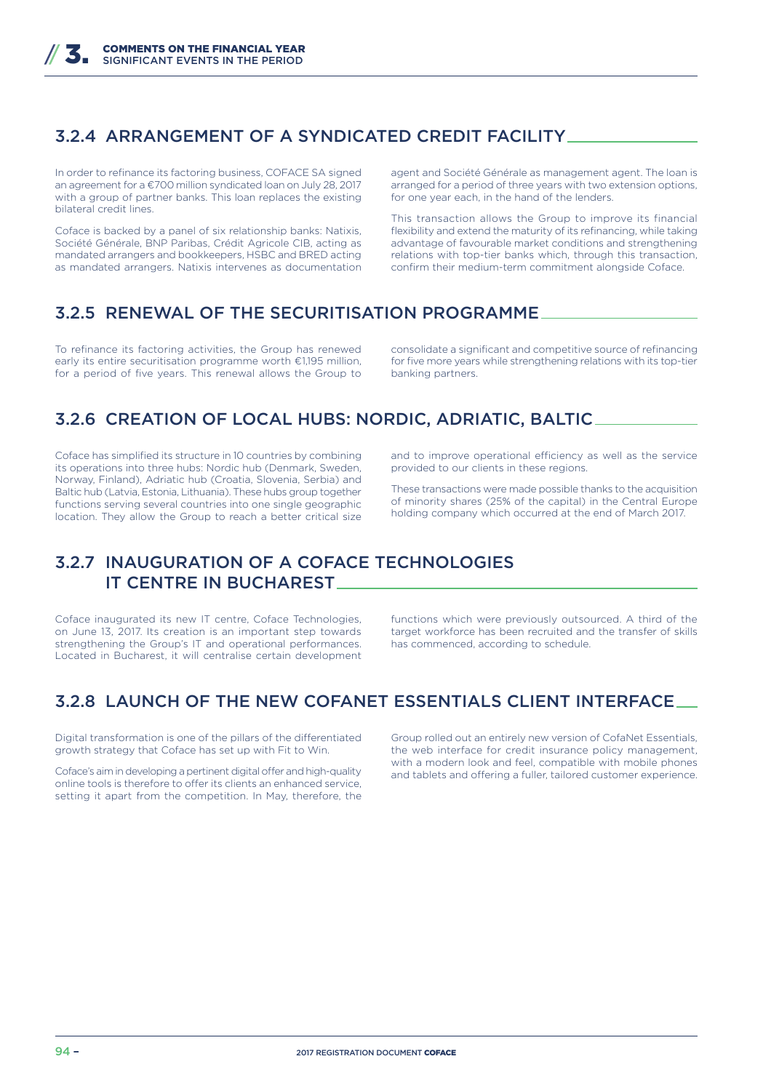### 3.2.4 ARRANGEMENT OF A SYNDICATED CREDIT FACILITY

In order to refinance its factoring business, COFACE SA signed an agreement for a €700 million syndicated loan on July 28, 2017 with a group of partner banks. This loan replaces the existing bilateral credit lines.

Coface is backed by a panel of six relationship banks: Natixis, Société Générale, BNP Paribas, Crédit Agricole CIB, acting as mandated arrangers and bookkeepers, HSBC and BRED acting as mandated arrangers. Natixis intervenes as documentation

agent and Société Générale as management agent. The loan is arranged for a period of three years with two extension options, for one year each, in the hand of the lenders.

This transaction allows the Group to improve its financial flexibility and extend the maturity of its refinancing, while taking advantage of favourable market conditions and strengthening relations with top-tier banks which, through this transaction, confirm their medium-term commitment alongside Coface.

### 3.2.5 RENEWAL OF THE SECURITISATION PROGRAMME

To refinance its factoring activities, the Group has renewed early its entire securitisation programme worth €1,195 million, for a period of five years. This renewal allows the Group to consolidate a significant and competitive source of refinancing for five more years while strengthening relations with its top-tier banking partners.

### 3.2.6 CREATION OF LOCAL HUBS: NORDIC, ADRIATIC, BALTIC

Coface has simplified its structure in 10 countries by combining its operations into three hubs: Nordic hub (Denmark, Sweden, Norway, Finland), Adriatic hub (Croatia, Slovenia, Serbia) and Baltic hub (Latvia, Estonia, Lithuania). These hubs group together functions serving several countries into one single geographic location. They allow the Group to reach a better critical size

and to improve operational efficiency as well as the service provided to our clients in these regions.

These transactions were made possible thanks to the acquisition of minority shares (25% of the capital) in the Central Europe holding company which occurred at the end of March 2017.

### 3.2.7 INAUGURATION OF A COFACE TECHNOLOGIES IT CENTRE IN BUCHAREST

Coface inaugurated its new IT centre, Coface Technologies, on June 13, 2017. Its creation is an important step towards strengthening the Group's IT and operational performances. Located in Bucharest, it will centralise certain development

functions which were previously outsourced. A third of the target workforce has been recruited and the transfer of skills has commenced, according to schedule.

### 3.2.8 LAUNCH OF THE NEW COFANET ESSENTIALS CLIENT INTERFACE

Digital transformation is one of the pillars of the differentiated growth strategy that Coface has set up with Fit to Win.

Coface's aim in developing a pertinent digital offer and high-quality online tools is therefore to offer its clients an enhanced service, setting it apart from the competition. In May, therefore, the Group rolled out an entirely new version of CofaNet Essentials, the web interface for credit insurance policy management, with a modern look and feel, compatible with mobile phones and tablets and offering a fuller, tailored customer experience.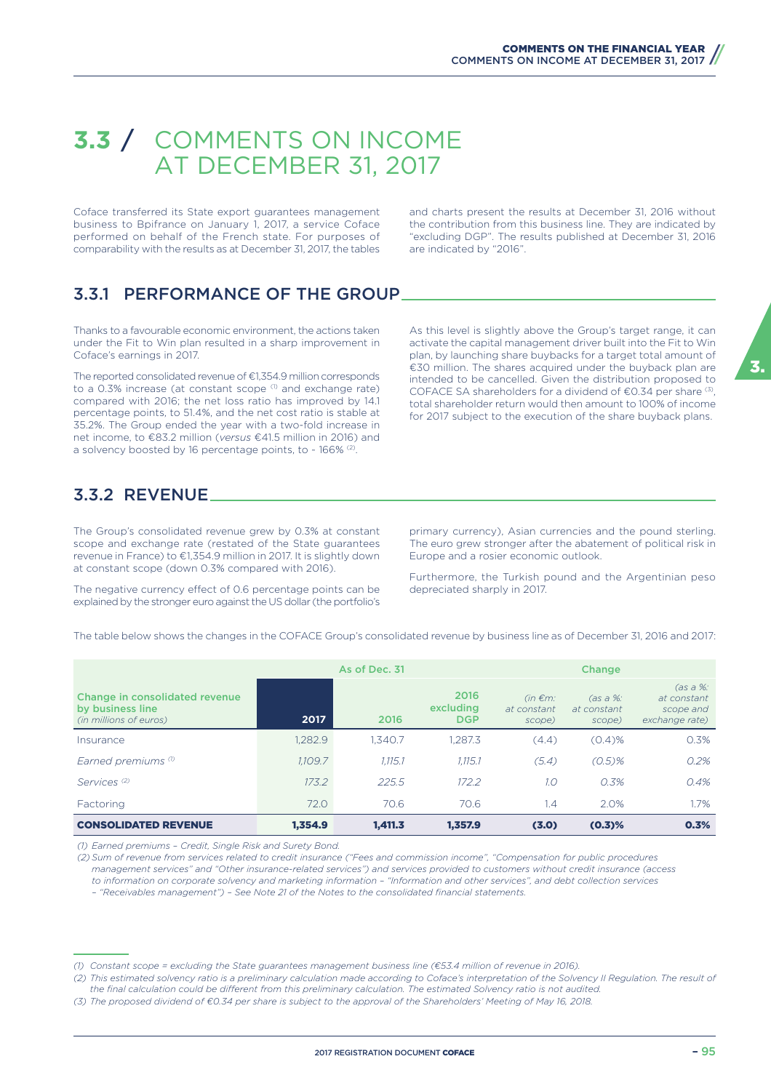## **3.3** / COMMENTS ON INCOME AT DECEMBER 31, 2017

Coface transferred its State export guarantees management business to Bpifrance on January 1, 2017, a service Coface performed on behalf of the French state. For purposes of comparability with the results as at December 31, 2017, the tables

and charts present the results at December 31, 2016 without the contribution from this business line. They are indicated by "excluding DGP". The results published at December 31, 2016 are indicated by "2016".

### 3.3.1 PERFORMANCE OF THE GROUP

Thanks to a favourable economic environment, the actions taken under the Fit to Win plan resulted in a sharp improvement in Coface's earnings in 2017.

The reported consolidated revenue of €1,354.9 million corresponds to a 0.3% increase (at constant scope<sup>(1)</sup> and exchange rate) compared with 2016; the net loss ratio has improved by 14.1 percentage points, to 51.4%, and the net cost ratio is stable at 35.2%. The Group ended the year with a two-fold increase in net income, to €83.2 million (*versus* €41.5 million in 2016) and a solvency boosted by 16 percentage points, to ~ 166% <sup>(2)</sup>.

As this level is slightly above the Group's target range, it can activate the capital management driver built into the Fit to Win plan, by launching share buybacks for a target total amount of €30 million. The shares acquired under the buyback plan are intended to be cancelled. Given the distribution proposed to COFACE SA shareholders for a dividend of  $\epsilon$ 0.34 per share  $(3)$ , total shareholder return would then amount to 100% of income for 2017 subject to the execution of the share buyback plans.

### 3.3.2 REVENUE

The Group's consolidated revenue grew by 0.3% at constant scope and exchange rate (restated of the State guarantees revenue in France) to €1,354.9 million in 2017. It is slightly down at constant scope (down 0.3% compared with 2016).

The negative currency effect of 0.6 percentage points can be explained by the stronger euro against the US dollar (the portfolio's

primary currency), Asian currencies and the pound sterling. The euro grew stronger after the abatement of political risk in Europe and a rosier economic outlook.

Furthermore, the Turkish pound and the Argentinian peso depreciated sharply in 2017.

The table below shows the changes in the COFACE Group's consolidated revenue by business line as of December 31, 2016 and 2017:

|                                                                              |         | As of Dec. 31<br>Change |                                 |                                       |                                     |                                                          |
|------------------------------------------------------------------------------|---------|-------------------------|---------------------------------|---------------------------------------|-------------------------------------|----------------------------------------------------------|
| Change in consolidated revenue<br>by business line<br>(in millions of euros) | 2017    | 2016                    | 2016<br>excluding<br><b>DGP</b> | $(in \in m)$<br>at constant<br>scope) | (as a %: )<br>at constant<br>scope) | (as a %: )<br>at constant<br>scope and<br>exchange rate) |
| Insurance                                                                    | 1,282.9 | 1.340.7                 | 1.287.3                         | (4.4)                                 | (0.4)%                              | 0.3%                                                     |
| Earned premiums (1)                                                          | 1.109.7 | 1.115.1                 | 1.115.1                         | (5.4)                                 | $(0.5)$ %                           | 0.2%                                                     |
| Services <sup>(2)</sup>                                                      | 173.2   | 225.5                   | 172.2                           | 1.0                                   | 0.3%                                | 0.4%                                                     |
| Factoring                                                                    | 72.0    | 70.6                    | 70.6                            | 1.4                                   | 2.0%                                | 1.7%                                                     |
| <b>CONSOLIDATED REVENUE</b>                                                  | 1.354.9 | 1.411.3                 | 1.357.9                         | (3.0)                                 | (0.3)%                              | 0.3%                                                     |

*(1) Earned premiums – Credit, Single Risk and Surety Bond.*

*(2) Sum of revenue from services related to credit insurance ("Fees and commission income", "Compensation for public procedures management services" and "Other insurance-related services") and services provided to customers without credit insurance (access to information on corporate solvency and marketing information – "Information and other services", and debt collection services – "Receivables management") – See Note 21 of the Notes to the consolidated financial statements.*

*(2) This estimated solvency ratio is a preliminary calculation made according to Coface's interpretation of the Solvency II Regulation. The result of*  the final calculation could be different from this preliminary calculation. The estimated Solvency ratio is not audited.

3.

*<sup>(1)</sup> Constant scope = excluding the State guarantees management business line (€53.4 million of revenue in 2016).*

*<sup>(3)</sup> The proposed dividend of €0.34 per share is subject to the approval of the Shareholders' Meeting of May 16, 2018.*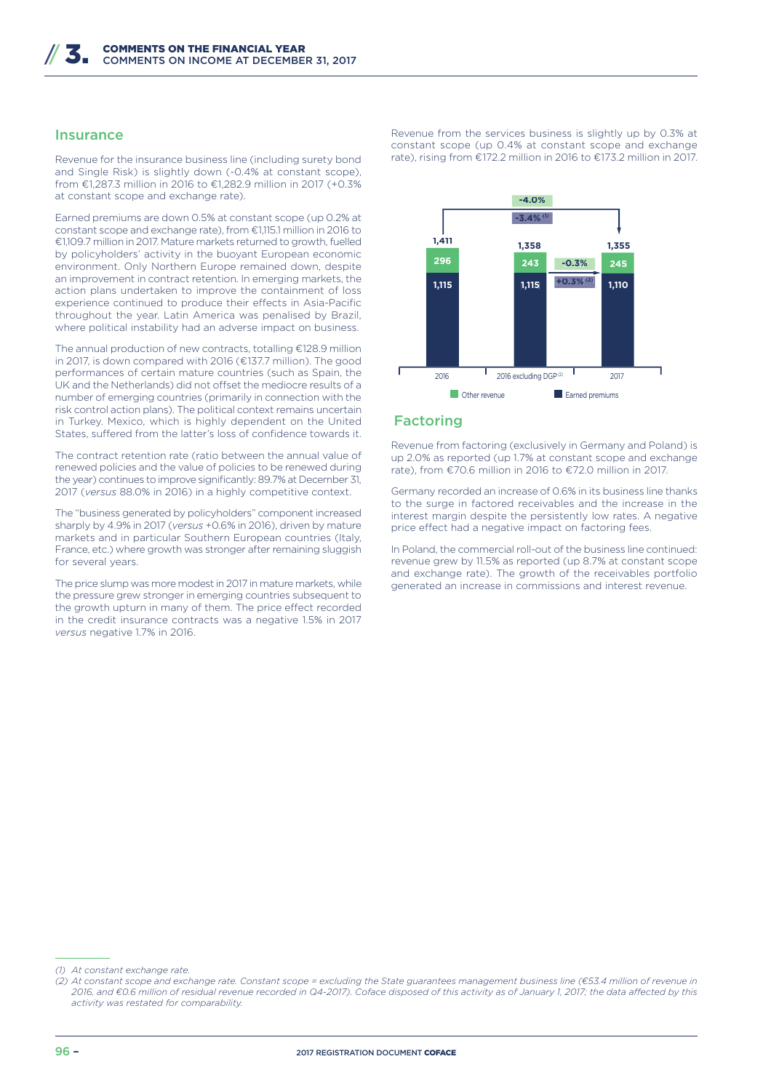#### Insurance

Revenue for the insurance business line (including surety bond and Single Risk) is slightly down (-0.4% at constant scope), from €1,287.3 million in 2016 to €1,282.9 million in 2017 (+0.3% at constant scope and exchange rate).

Earned premiums are down 0.5% at constant scope (up 0.2% at constant scope and exchange rate), from €1,115.1 million in 2016 to €1,109.7 million in 2017. Mature markets returned to growth, fuelled by policyholders' activity in the buoyant European economic environment. Only Northern Europe remained down, despite an improvement in contract retention. In emerging markets, the action plans undertaken to improve the containment of loss experience continued to produce their effects in Asia-Pacific throughout the year. Latin America was penalised by Brazil, where political instability had an adverse impact on business.

The annual production of new contracts, totalling €128.9 million in 2017, is down compared with 2016 (€137.7 million). The good performances of certain mature countries (such as Spain, the UK and the Netherlands) did not offset the mediocre results of a number of emerging countries (primarily in connection with the risk control action plans). The political context remains uncertain in Turkey. Mexico, which is highly dependent on the United States, suffered from the latter's loss of confidence towards it.

The contract retention rate (ratio between the annual value of renewed policies and the value of policies to be renewed during the year) continues to improve significantly: 89.7% at December 31, 2017 (*versus* 88.0% in 2016) in a highly competitive context.

The "business generated by policyholders" component increased sharply by 4.9% in 2017 (*versus* +0.6% in 2016), driven by mature markets and in particular Southern European countries (Italy, France, etc.) where growth was stronger after remaining sluggish for several years.

The price slump was more modest in 2017 in mature markets, while the pressure grew stronger in emerging countries subsequent to the growth upturn in many of them. The price effect recorded in the credit insurance contracts was a negative 1.5% in 2017 *versus* negative 1.7% in 2016.

Revenue from the services business is slightly up by 0.3% at constant scope (up 0.4% at constant scope and exchange rate), rising from €172.2 million in 2016 to €173.2 million in 2017.



#### Factoring

Revenue from factoring (exclusively in Germany and Poland) is up 2.0% as reported (up 1.7% at constant scope and exchange rate), from €70.6 million in 2016 to €72.0 million in 2017.

Germany recorded an increase of 0.6% in its business line thanks to the surge in factored receivables and the increase in the interest margin despite the persistently low rates. A negative price effect had a negative impact on factoring fees.

In Poland, the commercial roll-out of the business line continued: revenue grew by 11.5% as reported (up 8.7% at constant scope and exchange rate). The growth of the receivables portfolio generated an increase in commissions and interest revenue.

*<sup>(1)</sup> At constant exchange rate.*

*<sup>(2)</sup> At constant scope and exchange rate. Constant scope = excluding the State guarantees management business line (€53.4 million of revenue in*  2016, and €0.6 million of residual revenue recorded in Q4-2017). Coface disposed of this activity as of January 1, 2017; the data affected by this *activity was restated for comparability.*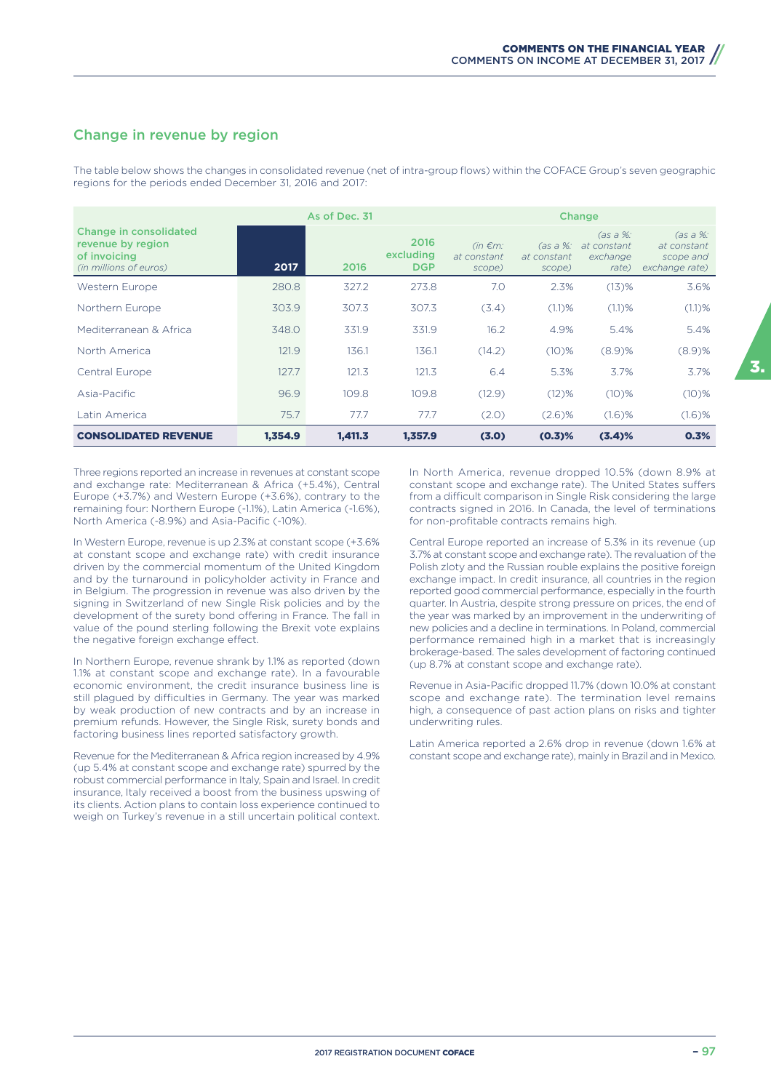### Change in revenue by region

The table below shows the changes in consolidated revenue (net of intra-group flows) within the COFACE Group's seven geographic regions for the periods ended December 31, 2016 and 2017:

|                                                                                       |         | As of Dec. 31<br><b>Change</b> |                                 |                                        |                                     |                                              |                                                        |
|---------------------------------------------------------------------------------------|---------|--------------------------------|---------------------------------|----------------------------------------|-------------------------------------|----------------------------------------------|--------------------------------------------------------|
| Change in consolidated<br>revenue by region<br>of invoicing<br>(in millions of euros) | 2017    | 2016                           | 2016<br>excluding<br><b>DGP</b> | $(in \in m$ :<br>at constant<br>scope) | (as a %: )<br>at constant<br>scope) | (as a %:<br>at constant<br>exchange<br>rate) | (as a %:<br>at constant<br>scope and<br>exchange rate) |
| <b>Western Europe</b>                                                                 | 280.8   | 327.2                          | 273.8                           | 7.0                                    | 2.3%                                | $(13)$ %                                     | 3.6%                                                   |
| Northern Europe                                                                       | 303.9   | 307.3                          | 307.3                           | (3.4)                                  | $(1.1)$ %                           | (1.1)%                                       | $(1.1)$ %                                              |
| Mediterranean & Africa                                                                | 348.0   | 331.9                          | 331.9                           | 16.2                                   | 4.9%                                | 5.4%                                         | 5.4%                                                   |
| North America                                                                         | 121.9   | 136.1                          | 136.1                           | (14.2)                                 | (10)%                               | $(8.9)$ %                                    | $(8.9)$ %                                              |
| Central Europe                                                                        | 127.7   | 121.3                          | 121.3                           | 6.4                                    | 5.3%                                | 3.7%                                         | 3.7%                                                   |
| Asia-Pacific                                                                          | 96.9    | 109.8                          | 109.8                           | (12.9)                                 | $(12)$ %                            | $(10)\%$                                     | $(10)\%$                                               |
| Latin America                                                                         | 75.7    | 77.7                           | 77.7                            | (2.0)                                  | $(2.6)$ %                           | $(1.6)$ %                                    | $(1.6)$ %                                              |
| <b>CONSOLIDATED REVENUE</b>                                                           | 1,354.9 | 1,411.3                        | 1,357.9                         | (3.0)                                  | $(0.3)$ %                           | (3.4)%                                       | 0.3%                                                   |

Three regions reported an increase in revenues at constant scope and exchange rate: Mediterranean & Africa (+5.4%), Central Europe (+3.7%) and Western Europe (+3.6%), contrary to the remaining four: Northern Europe (-1.1%), Latin America (-1.6%), North America (-8.9%) and Asia-Pacific (-10%).

In Western Europe, revenue is up 2.3% at constant scope (+3.6% at constant scope and exchange rate) with credit insurance driven by the commercial momentum of the United Kingdom and by the turnaround in policyholder activity in France and in Belgium. The progression in revenue was also driven by the signing in Switzerland of new Single Risk policies and by the development of the surety bond offering in France. The fall in value of the pound sterling following the Brexit vote explains the negative foreign exchange effect.

In Northern Europe, revenue shrank by 1.1% as reported (down 1.1% at constant scope and exchange rate). In a favourable economic environment, the credit insurance business line is still plagued by difficulties in Germany. The year was marked by weak production of new contracts and by an increase in premium refunds. However, the Single Risk, surety bonds and factoring business lines reported satisfactory growth.

Revenue for the Mediterranean & Africa region increased by 4.9% (up 5.4% at constant scope and exchange rate) spurred by the robust commercial performance in Italy, Spain and Israel. In credit insurance, Italy received a boost from the business upswing of its clients. Action plans to contain loss experience continued to weigh on Turkey's revenue in a still uncertain political context.

In North America, revenue dropped 10.5% (down 8.9% at constant scope and exchange rate). The United States suffers from a difficult comparison in Single Risk considering the large contracts signed in 2016. In Canada, the level of terminations for non-profitable contracts remains high.

Central Europe reported an increase of 5.3% in its revenue (up 3.7% at constant scope and exchange rate). The revaluation of the Polish zloty and the Russian rouble explains the positive foreign exchange impact. In credit insurance, all countries in the region reported good commercial performance, especially in the fourth quarter. In Austria, despite strong pressure on prices, the end of the year was marked by an improvement in the underwriting of new policies and a decline in terminations. In Poland, commercial performance remained high in a market that is increasingly brokerage-based. The sales development of factoring continued (up 8.7% at constant scope and exchange rate).

Revenue in Asia-Pacific dropped 11.7% (down 10.0% at constant scope and exchange rate). The termination level remains high, a consequence of past action plans on risks and tighter underwriting rules.

Latin America reported a 2.6% drop in revenue (down 1.6% at constant scope and exchange rate), mainly in Brazil and in Mexico.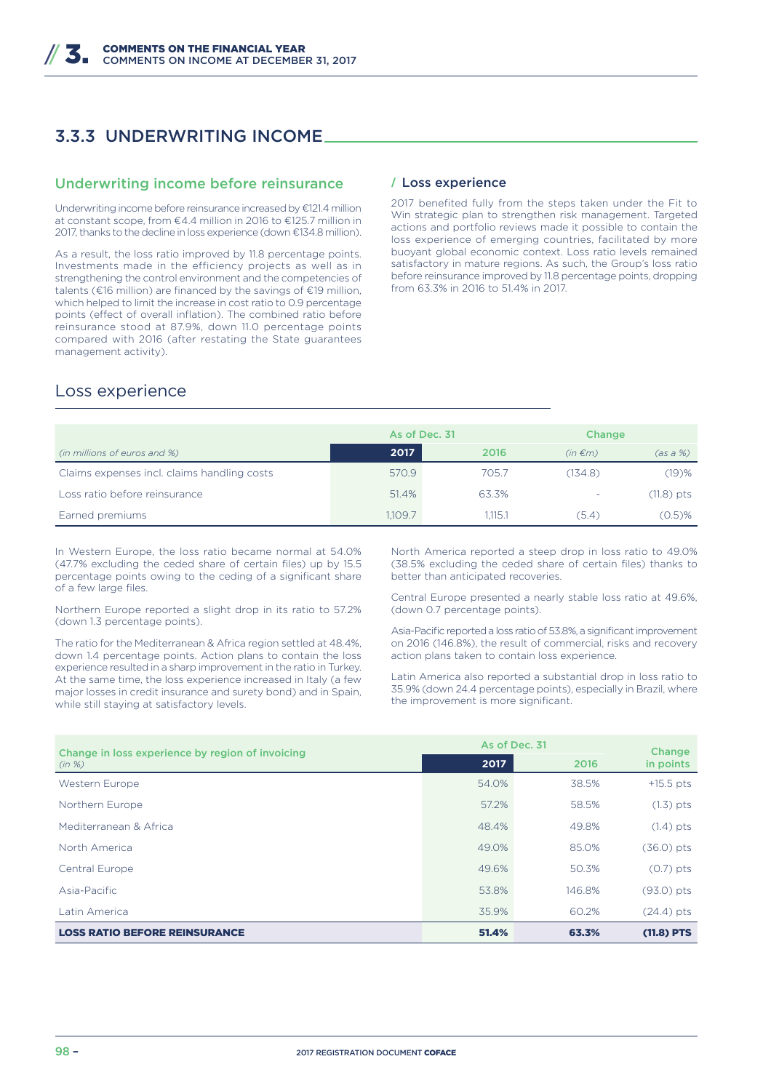### 3.3.3 UNDERWRITING INCOME

#### Underwriting income before reinsurance

Underwriting income before reinsurance increased by €121.4 million at constant scope, from €4.4 million in 2016 to €125.7 million in 2017, thanks to the decline in loss experience (down €134.8 million).

As a result, the loss ratio improved by 11.8 percentage points. Investments made in the efficiency projects as well as in strengthening the control environment and the competencies of talents (€16 million) are financed by the savings of €19 million, which helped to limit the increase in cost ratio to 0.9 percentage points (effect of overall inflation). The combined ratio before reinsurance stood at 87.9%, down 11.0 percentage points compared with 2016 (after restating the State guarantees management activity).

#### **/** Loss experience

2017 benefited fully from the steps taken under the Fit to Win strategic plan to strengthen risk management. Targeted actions and portfolio reviews made it possible to contain the loss experience of emerging countries, facilitated by more buoyant global economic context. Loss ratio levels remained satisfactory in mature regions. As such, the Group's loss ratio before reinsurance improved by 11.8 percentage points, dropping from 63.3% in 2016 to 51.4% in 2017.

### Loss experience

|                                             | As of Dec. 31 |         | Change       |              |
|---------------------------------------------|---------------|---------|--------------|--------------|
| (in millions of euros and %)                | 2017          | 2016    | $(in \in m)$ | (as a %)     |
| Claims expenses incl. claims handling costs | 570.9         | 705.7   | (134.8)      | $(19)$ %     |
| Loss ratio before reinsurance               | 51.4%         | 63.3%   | -            | $(11.8)$ pts |
| Earned premiums                             | 1,109.7       | 1.115.1 | (5.4)        | $(0.5)$ %    |

In Western Europe, the loss ratio became normal at 54.0% (47.7% excluding the ceded share of certain files) up by 15.5 percentage points owing to the ceding of a significant share of a few large files.

Northern Europe reported a slight drop in its ratio to 57.2% (down 1.3 percentage points).

The ratio for the Mediterranean & Africa region settled at 48.4%, down 1.4 percentage points. Action plans to contain the loss experience resulted in a sharp improvement in the ratio in Turkey. At the same time, the loss experience increased in Italy (a few major losses in credit insurance and surety bond) and in Spain, while still staying at satisfactory levels.

North America reported a steep drop in loss ratio to 49.0% (38.5% excluding the ceded share of certain files) thanks to better than anticipated recoveries.

Central Europe presented a nearly stable loss ratio at 49.6%, (down 0.7 percentage points).

Asia-Pacific reported a loss ratio of 53.8%, a significant improvement on 2016 (146.8%), the result of commercial, risks and recovery action plans taken to contain loss experience.

Latin America also reported a substantial drop in loss ratio to 35.9% (down 24.4 percentage points), especially in Brazil, where the improvement is more significant.

| Change in loss experience by region of invoicing | As of Dec. 31 | Change |              |
|--------------------------------------------------|---------------|--------|--------------|
| (in %)                                           | 2017          | 2016   | in points    |
| Western Europe                                   | 54.0%         | 38.5%  | $+15.5$ pts  |
| Northern Europe                                  | 57.2%         | 58.5%  | $(1.3)$ pts  |
| Mediterranean & Africa                           | 48.4%         | 49.8%  | $(1.4)$ pts  |
| North America                                    | 49.0%         | 85.0%  | $(36.0)$ pts |
| Central Europe                                   | 49.6%         | 50.3%  | $(0.7)$ pts  |
| Asia-Pacific                                     | 53.8%         | 146.8% | $(93.0)$ pts |
| Latin America                                    | 35.9%         | 60.2%  | $(24.4)$ pts |
| <b>LOSS RATIO BEFORE REINSURANCE</b>             | 51.4%         | 63.3%  | $(11.8)$ PTS |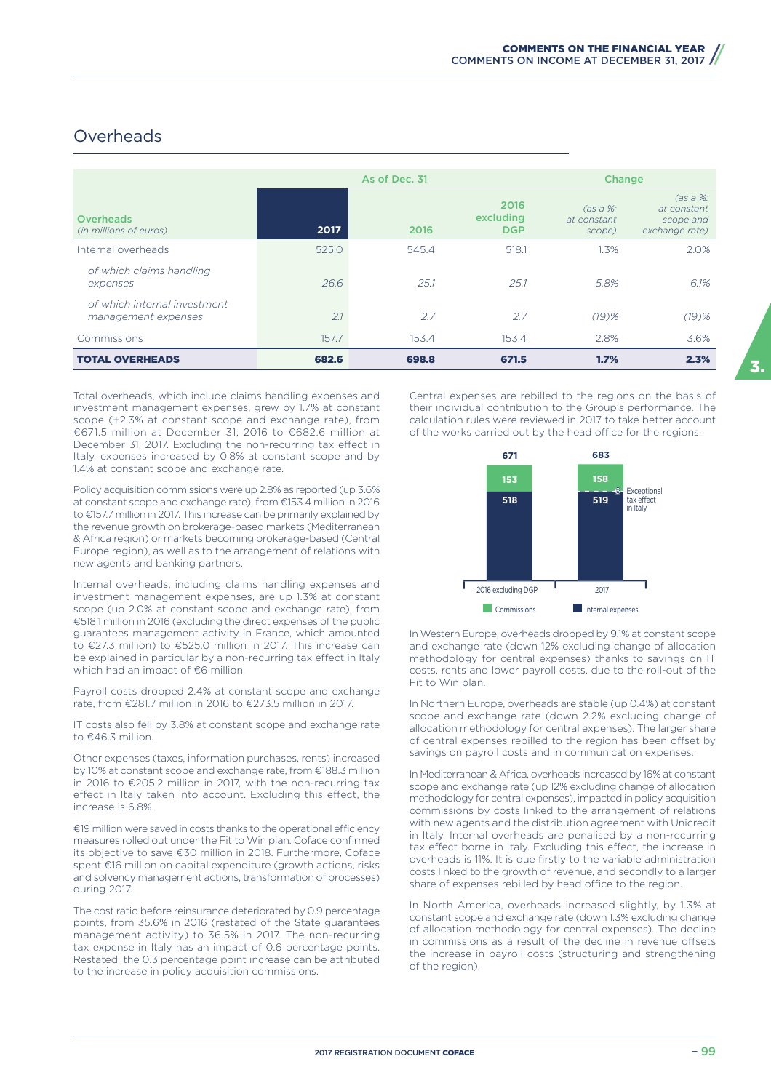### **Overheads**

|                                                     |       | As of Dec. 31 |                                 | <b>Change</b>                           |                                                        |  |
|-----------------------------------------------------|-------|---------------|---------------------------------|-----------------------------------------|--------------------------------------------------------|--|
| <b>Overheads</b><br>(in millions of euros)          | 2017  | 2016          | 2016<br>excluding<br><b>DGP</b> | $\cos a \, \%$<br>at constant<br>scope) | (as a %:<br>at constant<br>scope and<br>exchange rate) |  |
| Internal overheads                                  | 525.0 | 545.4         | 518.1                           | 1.3%                                    | 2.0%                                                   |  |
| of which claims handling<br>expenses                | 26.6  | 25.1          | 25.1                            | 5.8%                                    | 6.1%                                                   |  |
| of which internal investment<br>management expenses | 2.1   | 2.7           | 2.7                             | $(19)$ %                                | $(19)$ %                                               |  |
| Commissions                                         | 157.7 | 153.4         | 153.4                           | 2.8%                                    | 3.6%                                                   |  |
| <b>TOTAL OVERHEADS</b>                              | 682.6 | 698.8         | 671.5                           | 1.7%                                    | 2.3%                                                   |  |

Total overheads, which include claims handling expenses and investment management expenses, grew by 1.7% at constant scope (+2.3% at constant scope and exchange rate), from €671.5 million at December 31, 2016 to €682.6 million at December 31, 2017. Excluding the non-recurring tax effect in Italy, expenses increased by 0.8% at constant scope and by 1.4% at constant scope and exchange rate.

Policy acquisition commissions were up 2.8% as reported (up 3.6% at constant scope and exchange rate), from €153.4 million in 2016 to €157.7 million in 2017. This increase can be primarily explained by the revenue growth on brokerage-based markets (Mediterranean & Africa region) or markets becoming brokerage-based (Central Europe region), as well as to the arrangement of relations with new agents and banking partners.

Internal overheads, including claims handling expenses and investment management expenses, are up 1.3% at constant scope (up 2.0% at constant scope and exchange rate), from €518.1 million in 2016 (excluding the direct expenses of the public guarantees management activity in France, which amounted to €27.3 million) to €525.0 million in 2017. This increase can be explained in particular by a non-recurring tax effect in Italy which had an impact of €6 million.

Payroll costs dropped 2.4% at constant scope and exchange rate, from €281.7 million in 2016 to €273.5 million in 2017.

IT costs also fell by 3.8% at constant scope and exchange rate to €46.3 million.

Other expenses (taxes, information purchases, rents) increased by 10% at constant scope and exchange rate, from €188.3 million in 2016 to €205.2 million in 2017, with the non-recurring tax effect in Italy taken into account. Excluding this effect, the increase is 6.8%.

€19 million were saved in costs thanks to the operational efficiency measures rolled out under the Fit to Win plan. Coface confirmed its objective to save €30 million in 2018. Furthermore, Coface spent €16 million on capital expenditure (growth actions, risks and solvency management actions, transformation of processes) during 2017.

The cost ratio before reinsurance deteriorated by 0.9 percentage points, from 35.6% in 2016 (restated of the State guarantees management activity) to 36.5% in 2017. The non-recurring tax expense in Italy has an impact of 0.6 percentage points. Restated, the 0.3 percentage point increase can be attributed to the increase in policy acquisition commissions.

Central expenses are rebilled to the regions on the basis of their individual contribution to the Group's performance. The calculation rules were reviewed in 2017 to take better account of the works carried out by the head office for the regions.



In Western Europe, overheads dropped by 9.1% at constant scope and exchange rate (down 12% excluding change of allocation methodology for central expenses) thanks to savings on IT costs, rents and lower payroll costs, due to the roll-out of the Fit to Win plan.

In Northern Europe, overheads are stable (up 0.4%) at constant scope and exchange rate (down 2.2% excluding change of allocation methodology for central expenses). The larger share of central expenses rebilled to the region has been offset by savings on payroll costs and in communication expenses.

In Mediterranean & Africa, overheads increased by 16% at constant scope and exchange rate (up 12% excluding change of allocation methodology for central expenses), impacted in policy acquisition commissions by costs linked to the arrangement of relations with new agents and the distribution agreement with Unicredit in Italy. Internal overheads are penalised by a non-recurring tax effect borne in Italy. Excluding this effect, the increase in overheads is 11%. It is due firstly to the variable administration costs linked to the growth of revenue, and secondly to a larger share of expenses rebilled by head office to the region.

In North America, overheads increased slightly, by 1.3% at constant scope and exchange rate (down 1.3% excluding change of allocation methodology for central expenses). The decline in commissions as a result of the decline in revenue offsets the increase in payroll costs (structuring and strengthening of the region).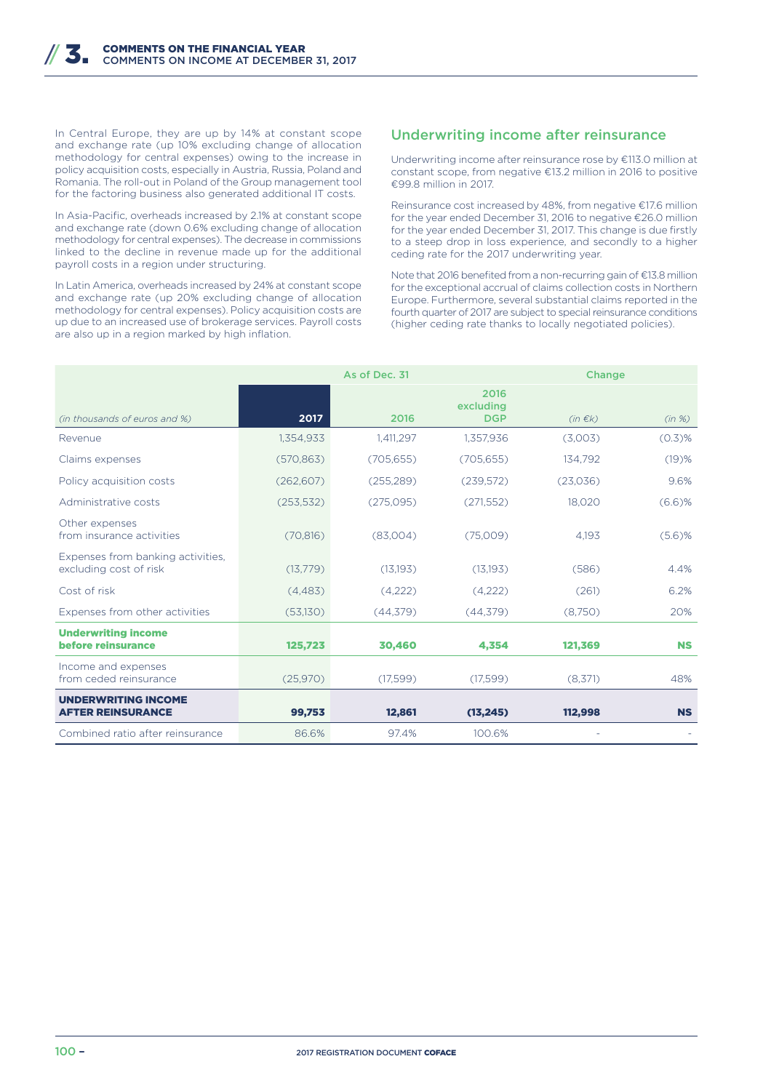In Central Europe, they are up by 14% at constant scope and exchange rate (up 10% excluding change of allocation methodology for central expenses) owing to the increase in policy acquisition costs, especially in Austria, Russia, Poland and Romania. The roll-out in Poland of the Group management tool for the factoring business also generated additional IT costs.

In Asia-Pacific, overheads increased by 2.1% at constant scope and exchange rate (down 0.6% excluding change of allocation methodology for central expenses). The decrease in commissions linked to the decline in revenue made up for the additional payroll costs in a region under structuring.

In Latin America, overheads increased by 24% at constant scope and exchange rate (up 20% excluding change of allocation methodology for central expenses). Policy acquisition costs are up due to an increased use of brokerage services. Payroll costs are also up in a region marked by high inflation.

#### Underwriting income after reinsurance

Underwriting income after reinsurance rose by €113.0 million at constant scope, from negative €13.2 million in 2016 to positive €99.8 million in 2017.

Reinsurance cost increased by 48%, from negative €17.6 million for the year ended December 31, 2016 to negative €26.0 million for the year ended December 31, 2017. This change is due firstly to a steep drop in loss experience, and secondly to a higher ceding rate for the 2017 underwriting year.

Note that 2016 benefited from a non-recurring gain of €13.8 million for the exceptional accrual of claims collection costs in Northern Europe. Furthermore, several substantial claims reported in the fourth quarter of 2017 are subject to special reinsurance conditions (higher ceding rate thanks to locally negotiated policies).

|                                                             |            | As of Dec. 31 |                                 | <b>Change</b> |           |
|-------------------------------------------------------------|------------|---------------|---------------------------------|---------------|-----------|
| (in thousands of euros and %)                               | 2017       | 2016          | 2016<br>excluding<br><b>DGP</b> | $(in \in k)$  | (in %)    |
| Revenue                                                     | 1,354,933  | 1,411,297     | 1,357,936                       | (3,003)       | $(0.3)$ % |
| Claims expenses                                             | (570, 863) | (705, 655)    | (705, 655)                      | 134,792       | (19)%     |
| Policy acquisition costs                                    | (262, 607) | (255, 289)    | (239,572)                       | (23,036)      | 9.6%      |
| Administrative costs                                        | (253, 532) | (275,095)     | (271, 552)                      | 18,020        | $(6.6)$ % |
| Other expenses<br>from insurance activities                 | (70, 816)  | (83,004)      | (75,009)                        | 4.193         | $(5.6)$ % |
| Expenses from banking activities,<br>excluding cost of risk | (13,779)   | (13, 193)     | (13,193)                        | (586)         | 4.4%      |
| Cost of risk                                                | (4,483)    | (4,222)       | (4,222)                         | (261)         | 6.2%      |
| Expenses from other activities                              | (53,130)   | (44,379)      | (44,379)                        | (8,750)       | 20%       |
| <b>Underwriting income</b><br>before reinsurance            | 125,723    | 30,460        | 4,354                           | 121,369       | <b>NS</b> |
| Income and expenses<br>from ceded reinsurance               | (25,970)   | (17,599)      | (17,599)                        | (8,371)       | 48%       |
| <b>UNDERWRITING INCOME</b><br><b>AFTER REINSURANCE</b>      | 99,753     | 12,861        | (13, 245)                       | 112,998       | <b>NS</b> |
| Combined ratio after reinsurance                            | 86.6%      | 97.4%         | 100.6%                          |               |           |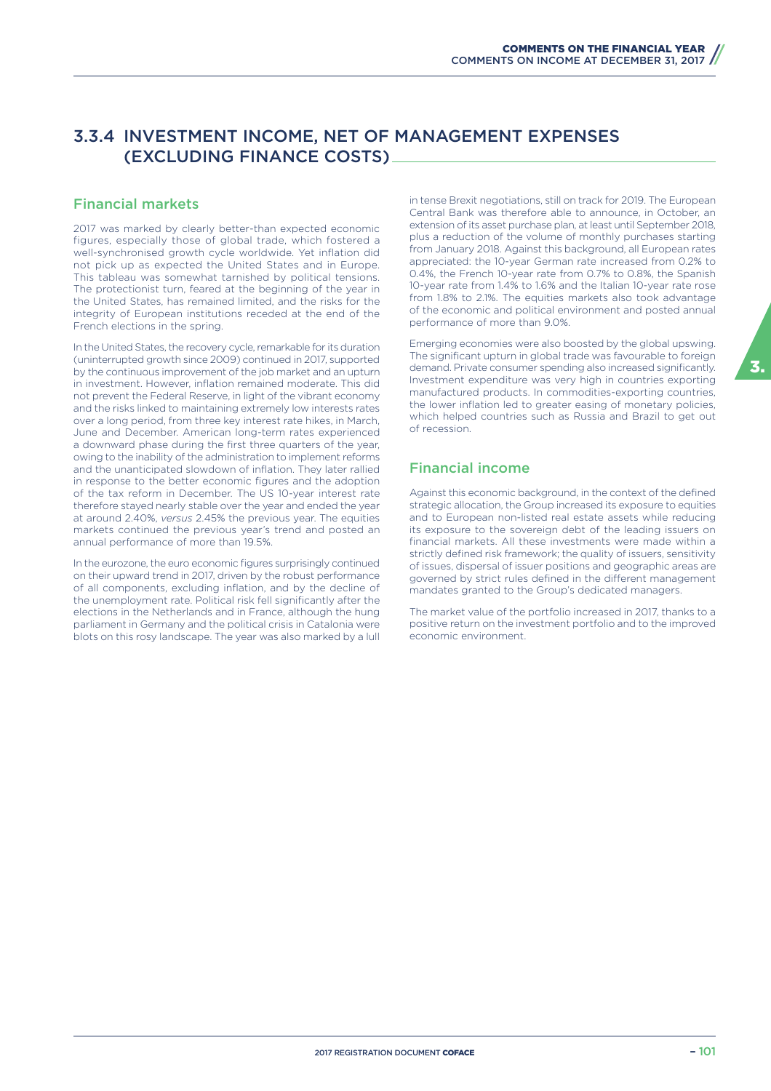### 3.3.4 INVESTMENT INCOME, NET OF MANAGEMENT EXPENSES (EXCLUDING FINANCE COSTS)

#### Financial markets

2017 was marked by clearly better-than expected economic figures, especially those of global trade, which fostered a well-synchronised growth cycle worldwide. Yet inflation did not pick up as expected the United States and in Europe. This tableau was somewhat tarnished by political tensions. The protectionist turn, feared at the beginning of the year in the United States, has remained limited, and the risks for the integrity of European institutions receded at the end of the French elections in the spring.

In the United States, the recovery cycle, remarkable for its duration (uninterrupted growth since 2009) continued in 2017, supported by the continuous improvement of the job market and an upturn in investment. However, inflation remained moderate. This did not prevent the Federal Reserve, in light of the vibrant economy and the risks linked to maintaining extremely low interests rates over a long period, from three key interest rate hikes, in March, June and December. American long-term rates experienced a downward phase during the first three quarters of the year, owing to the inability of the administration to implement reforms and the unanticipated slowdown of inflation. They later rallied in response to the better economic figures and the adoption of the tax reform in December. The US 10-year interest rate therefore stayed nearly stable over the year and ended the year at around 2.40%, *versus* 2.45% the previous year. The equities markets continued the previous year's trend and posted an annual performance of more than 19.5%.

In the eurozone, the euro economic figures surprisingly continued on their upward trend in 2017, driven by the robust performance of all components, excluding inflation, and by the decline of the unemployment rate. Political risk fell significantly after the elections in the Netherlands and in France, although the hung parliament in Germany and the political crisis in Catalonia were blots on this rosy landscape. The year was also marked by a lull in tense Brexit negotiations, still on track for 2019. The European Central Bank was therefore able to announce, in October, an extension of its asset purchase plan, at least until September 2018, plus a reduction of the volume of monthly purchases starting from January 2018. Against this background, all European rates appreciated: the 10-year German rate increased from 0.2% to 0.4%, the French 10-year rate from 0.7% to 0.8%, the Spanish 10-year rate from 1.4% to 1.6% and the Italian 10-year rate rose from 1.8% to 2.1%. The equities markets also took advantage of the economic and political environment and posted annual performance of more than 9.0%.

Emerging economies were also boosted by the global upswing. The significant upturn in global trade was favourable to foreign demand. Private consumer spending also increased significantly. Investment expenditure was very high in countries exporting manufactured products. In commodities-exporting countries, the lower inflation led to greater easing of monetary policies, which helped countries such as Russia and Brazil to get out of recession.

#### Financial income

Against this economic background, in the context of the defined strategic allocation, the Group increased its exposure to equities and to European non-listed real estate assets while reducing its exposure to the sovereign debt of the leading issuers on financial markets. All these investments were made within a strictly defined risk framework; the quality of issuers, sensitivity of issues, dispersal of issuer positions and geographic areas are governed by strict rules defined in the different management mandates granted to the Group's dedicated managers.

The market value of the portfolio increased in 2017, thanks to a positive return on the investment portfolio and to the improved economic environment.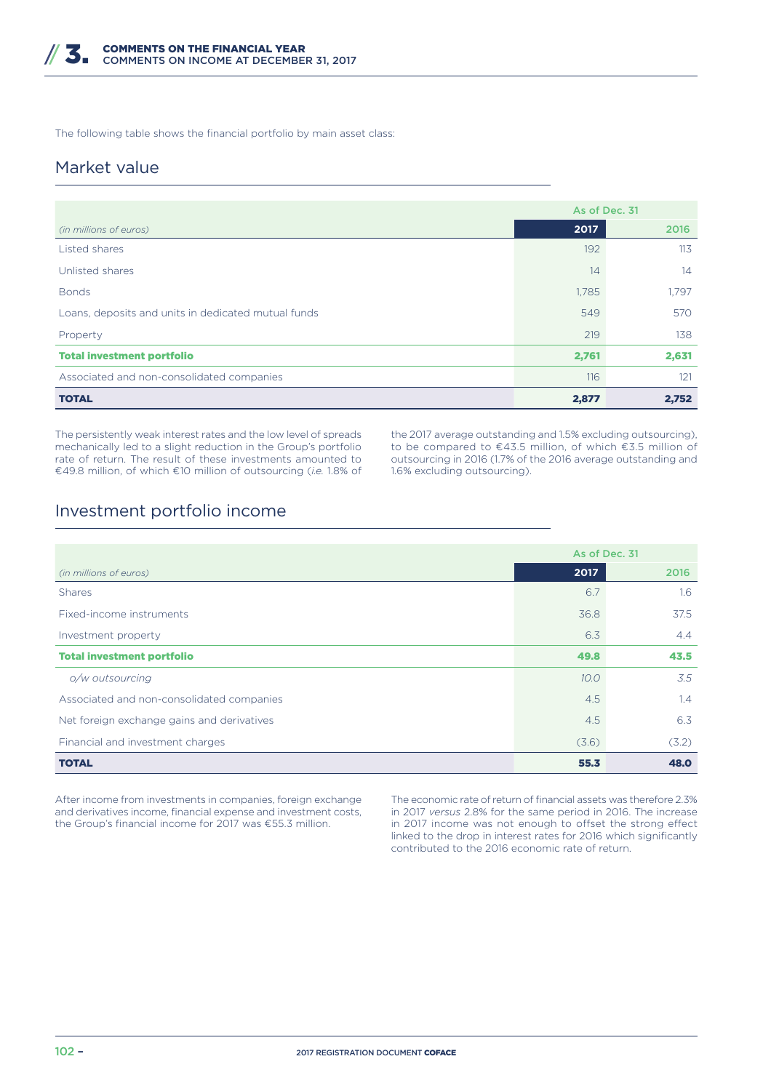The following table shows the financial portfolio by main asset class:

### Market value

|                                                     | As of Dec. 31 |       |
|-----------------------------------------------------|---------------|-------|
| (in millions of euros)                              | 2017          | 2016  |
| Listed shares                                       | 192           | 113   |
| Unlisted shares                                     | 14            | 14    |
| <b>Bonds</b>                                        | 1,785         | 1.797 |
| Loans, deposits and units in dedicated mutual funds | 549           | 570   |
| Property                                            | 219           | 138   |
| <b>Total investment portfolio</b>                   | 2,761         | 2,631 |
| Associated and non-consolidated companies           | 116           | 121   |
| <b>TOTAL</b>                                        | 2,877         | 2,752 |

The persistently weak interest rates and the low level of spreads mechanically led to a slight reduction in the Group's portfolio rate of return. The result of these investments amounted to €49.8 million, of which €10 million of outsourcing (*i.e.* 1.8% of the 2017 average outstanding and 1.5% excluding outsourcing), to be compared to €43.5 million, of which €3.5 million of outsourcing in 2016 (1.7% of the 2016 average outstanding and 1.6% excluding outsourcing).

### Investment portfolio income

|                                            | As of Dec. 31 |       |
|--------------------------------------------|---------------|-------|
| (in millions of euros)                     | 2017          | 2016  |
| <b>Shares</b>                              | 6.7           | 1.6   |
| Fixed-income instruments                   | 36.8          | 37.5  |
| Investment property                        | 6.3           | 4.4   |
| <b>Total investment portfolio</b>          | 49.8          | 43.5  |
| o/w outsourcing                            | 10.0          | 3.5   |
| Associated and non-consolidated companies  | 4.5           | 1.4   |
| Net foreign exchange gains and derivatives | 4.5           | 6.3   |
| Financial and investment charges           | (3.6)         | (3.2) |
| <b>TOTAL</b>                               | 55.3          | 48.0  |

After income from investments in companies, foreign exchange and derivatives income, financial expense and investment costs, the Group's financial income for 2017 was €55.3 million.

The economic rate of return of financial assets was therefore 2.3% in 2017 *versus* 2.8% for the same period in 2016. The increase in 2017 income was not enough to offset the strong effect linked to the drop in interest rates for 2016 which significantly contributed to the 2016 economic rate of return.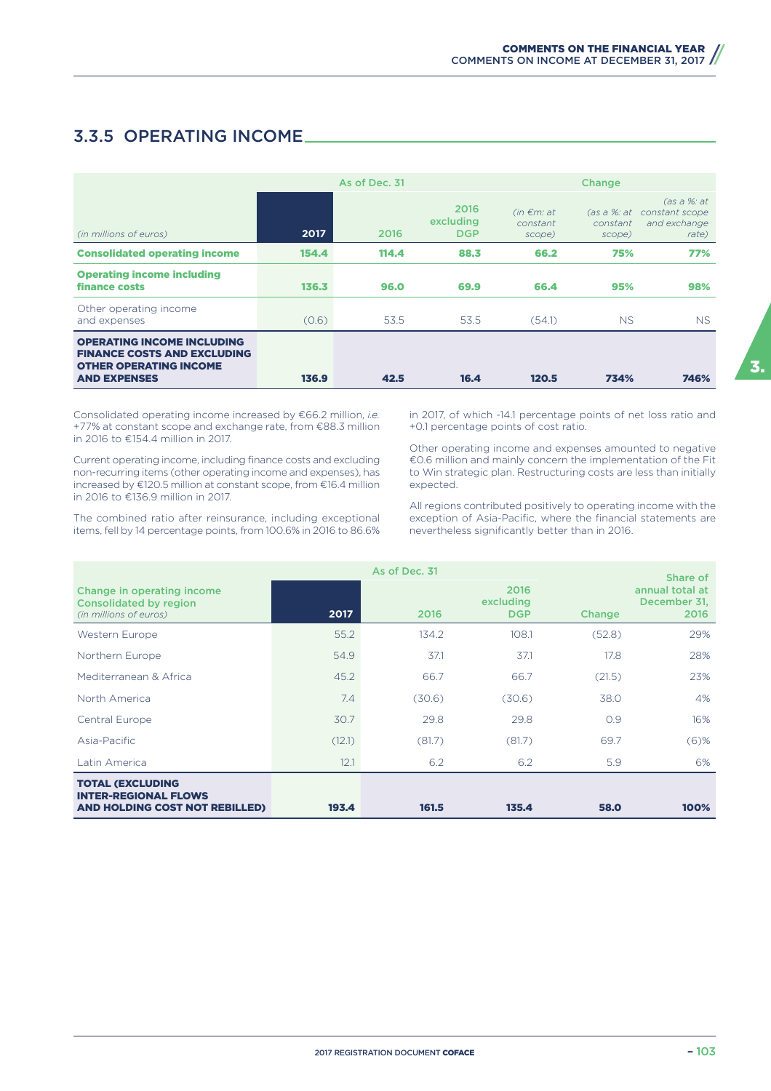### 3.3.5 OPERATING INCOME

|                                                                                                                                 |       | As of Dec. 31 | Change                          |                                       |                                   |                                                        |
|---------------------------------------------------------------------------------------------------------------------------------|-------|---------------|---------------------------------|---------------------------------------|-----------------------------------|--------------------------------------------------------|
| (in millions of euros)                                                                                                          | 2017  | 2016          | 2016<br>excluding<br><b>DGP</b> | $(in \in m: at$<br>constant<br>scope) | (as a %: at<br>constant<br>scope) | (as a %: at<br>constant scope<br>and exchange<br>rate) |
| <b>Consolidated operating income</b>                                                                                            | 154.4 | 114.4         | 88.3                            | 66.2                                  | 75%                               | 77%                                                    |
| <b>Operating income including</b><br>finance costs                                                                              | 136.3 | 96.0          | 69.9                            | 66.4                                  | 95%                               | 98%                                                    |
| Other operating income<br>and expenses                                                                                          | (0.6) | 53.5          | 53.5                            | (54.1)                                | NS.                               | NS.                                                    |
| <b>OPERATING INCOME INCLUDING</b><br><b>FINANCE COSTS AND EXCLUDING</b><br><b>OTHER OPERATING INCOME</b><br><b>AND EXPENSES</b> | 136.9 | 42.5          | 16.4                            | 120.5                                 | 734%                              | 746%                                                   |

Consolidated operating income increased by €66.2 million, *i.e.* +77% at constant scope and exchange rate, from €88.3 million in 2016 to €154.4 million in 2017.

Current operating income, including finance costs and excluding non-recurring items (other operating income and expenses), has increased by €120.5 million at constant scope, from €16.4 million in 2016 to €136.9 million in 2017.

The combined ratio after reinsurance, including exceptional items, fell by 14 percentage points, from 100.6% in 2016 to 86.6%

in 2017, of which -14.1 percentage points of net loss ratio and +0.1 percentage points of cost ratio.

Other operating income and expenses amounted to negative €0.6 million and mainly concern the implementation of the Fit to Win strategic plan. Restructuring costs are less than initially expected.

All regions contributed positively to operating income with the exception of Asia-Pacific, where the financial statements are nevertheless significantly better than in 2016.

|                                                                                          |        | As of Dec. 31 |                                 |        | Share of                                |
|------------------------------------------------------------------------------------------|--------|---------------|---------------------------------|--------|-----------------------------------------|
| Change in operating income<br><b>Consolidated by region</b><br>(in millions of euros)    | 2017   | 2016          | 2016<br>excluding<br><b>DGP</b> | Change | annual total at<br>December 31,<br>2016 |
| <b>Western Europe</b>                                                                    | 55.2   | 134.2         | 108.1                           | (52.8) | 29%                                     |
| Northern Europe                                                                          | 54.9   | 37.1          | 37.1                            | 17.8   | 28%                                     |
| Mediterranean & Africa                                                                   | 45.2   | 66.7          | 66.7                            | (21.5) | 23%                                     |
| North America                                                                            | 7.4    | (30.6)        | (30.6)                          | 38.0   | 4%                                      |
| Central Europe                                                                           | 30.7   | 29.8          | 29.8                            | 0.9    | 16%                                     |
| Asia-Pacific                                                                             | (12.1) | (81.7)        | (81.7)                          | 69.7   | $(6)$ %                                 |
| Latin America                                                                            | 12.1   | 6.2           | 6.2                             | 5.9    | 6%                                      |
| <b>TOTAL (EXCLUDING</b><br><b>INTER-REGIONAL FLOWS</b><br>AND HOLDING COST NOT REBILLED) | 193.4  | 161.5         | 135.4                           | 58.0   | 100%                                    |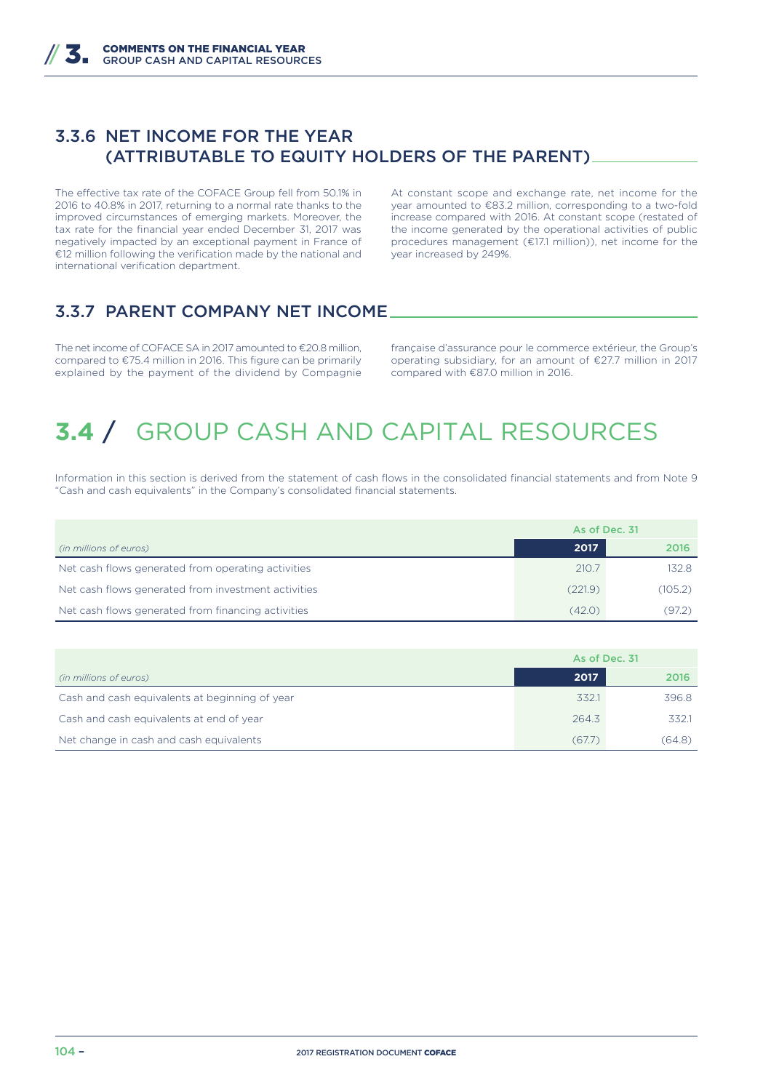### 3.3.6 NET INCOME FOR THE YEAR (ATTRIBUTABLE TO EQUITY HOLDERS OF THE PARENT)

The effective tax rate of the COFACE Group fell from 50.1% in 2016 to 40.8% in 2017, returning to a normal rate thanks to the improved circumstances of emerging markets. Moreover, the tax rate for the financial year ended December 31, 2017 was negatively impacted by an exceptional payment in France of €12 million following the verification made by the national and international verification department.

At constant scope and exchange rate, net income for the year amounted to €83.2 million, corresponding to a two-fold increase compared with 2016. At constant scope (restated of the income generated by the operational activities of public procedures management (€17.1 million)), net income for the year increased by 249%.

### 3.3.7 PARENT COMPANY NET INCOME

The net income of COFACE SA in 2017 amounted to €20.8 million, compared to €75.4 million in 2016. This figure can be primarily explained by the payment of the dividend by Compagnie

française d'assurance pour le commerce extérieur, the Group's operating subsidiary, for an amount of €27.7 million in 2017 compared with €87.0 million in 2016.

# **3.4** / GROUP CASH AND CAPITAL RESOURCES

Information in this section is derived from the statement of cash flows in the consolidated financial statements and from Note 9 "Cash and cash equivalents" in the Company's consolidated financial statements.

|                                                     | As of Dec. 31 |         |
|-----------------------------------------------------|---------------|---------|
| (in millions of euros)                              | 2017          | 2016    |
| Net cash flows generated from operating activities  | 210.7         | 132.8   |
| Net cash flows generated from investment activities | (221.9)       | (105.2) |
| Net cash flows generated from financing activities  | (42.0)        | (97.2)  |

|                                                | As of Dec. 31 |        |
|------------------------------------------------|---------------|--------|
| (in millions of euros)                         | 2017          | 2016   |
| Cash and cash equivalents at beginning of year | 332.1         | 396.8  |
| Cash and cash equivalents at end of year       | 264.3         | 332.1  |
| Net change in cash and cash equivalents        | (67.7)        | (64.8) |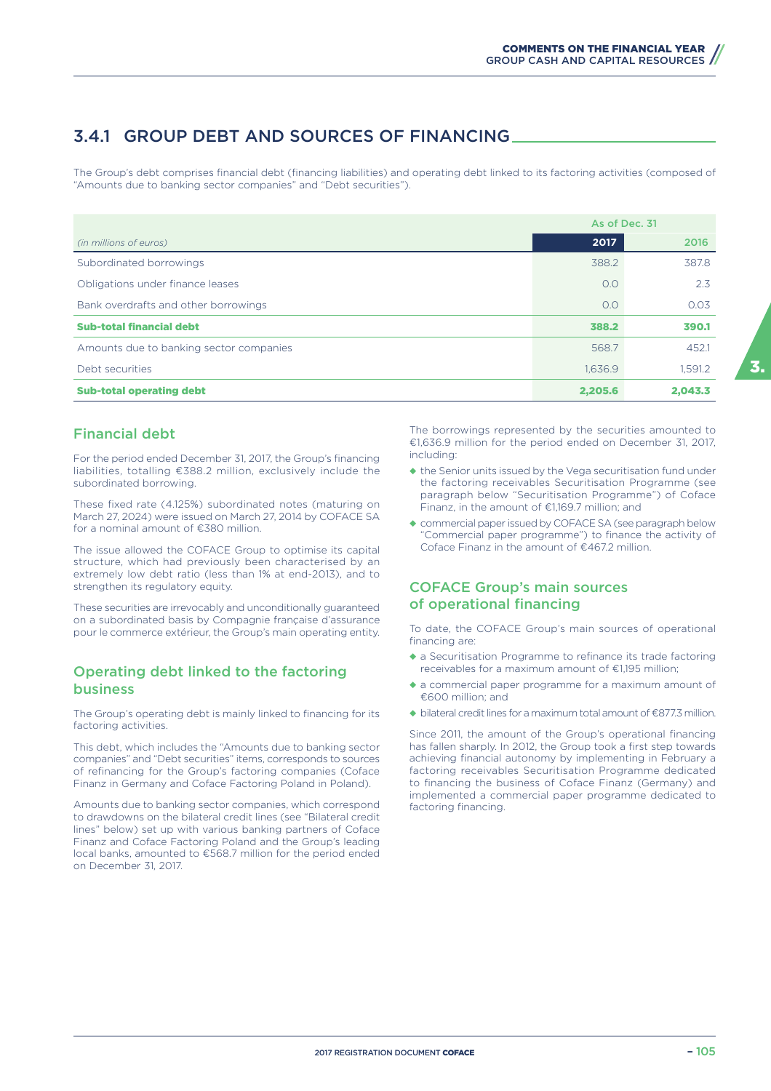### 3.4.1 GROUP DEBT AND SOURCES OF FINANCING

The Group's debt comprises financial debt (financing liabilities) and operating debt linked to its factoring activities (composed of "Amounts due to banking sector companies" and "Debt securities").

|                                         | As of Dec. 31 |         |
|-----------------------------------------|---------------|---------|
| (in millions of euros)                  | 2017          | 2016    |
| Subordinated borrowings                 | 388.2         | 387.8   |
| Obligations under finance leases        | O.O           | 2.3     |
| Bank overdrafts and other borrowings    | 0.0           | 0.03    |
| <b>Sub-total financial debt</b>         | 388.2         | 390.1   |
| Amounts due to banking sector companies | 568.7         | 452.1   |
| Debt securities                         | 1.636.9       | 1.591.2 |
| <b>Sub-total operating debt</b>         | 2,205.6       | 2.043.3 |

### Financial debt

For the period ended December 31, 2017, the Group's financing liabilities, totalling €388.2 million, exclusively include the subordinated borrowing.

These fixed rate (4.125%) subordinated notes (maturing on March 27, 2024) were issued on March 27, 2014 by COFACE SA for a nominal amount of €380 million.

The issue allowed the COFACE Group to optimise its capital structure, which had previously been characterised by an extremely low debt ratio (less than 1% at end-2013), and to strengthen its regulatory equity.

These securities are irrevocably and unconditionally guaranteed on a subordinated basis by Compagnie française d'assurance pour le commerce extérieur, the Group's main operating entity.

#### Operating debt linked to the factoring business

The Group's operating debt is mainly linked to financing for its factoring activities.

This debt, which includes the "Amounts due to banking sector companies" and "Debt securities" items, corresponds to sources of refinancing for the Group's factoring companies (Coface Finanz in Germany and Coface Factoring Poland in Poland).

Amounts due to banking sector companies, which correspond to drawdowns on the bilateral credit lines (see "Bilateral credit lines" below) set up with various banking partners of Coface Finanz and Coface Factoring Poland and the Group's leading local banks, amounted to €568.7 million for the period ended on December 31, 2017.

The borrowings represented by the securities amounted to €1,636.9 million for the period ended on December 31, 2017, including:

- ◆ the Senior units issued by the Vega securitisation fund under the factoring receivables Securitisation Programme (see paragraph below "Securitisation Programme") of Coface Finanz, in the amount of €1,169.7 million; and
- ◆ commercial paper issued by COFACE SA (see paragraph below "Commercial paper programme") to finance the activity of Coface Finanz in the amount of  $\epsilon$ 4672 million.

### COFACE Group's main sources of operational financing

To date, the COFACE Group's main sources of operational financing are:

- ◆ a Securitisation Programme to refinance its trade factoring receivables for a maximum amount of €1,195 million;
- ◆ a commercial paper programme for a maximum amount of €600 million; and
- ◆ bilateral credit lines for a maximum total amount of €877.3 million.

Since 2011, the amount of the Group's operational financing has fallen sharply. In 2012, the Group took a first step towards achieving financial autonomy by implementing in February a factoring receivables Securitisation Programme dedicated to financing the business of Coface Finanz (Germany) and implemented a commercial paper programme dedicated to factoring financing.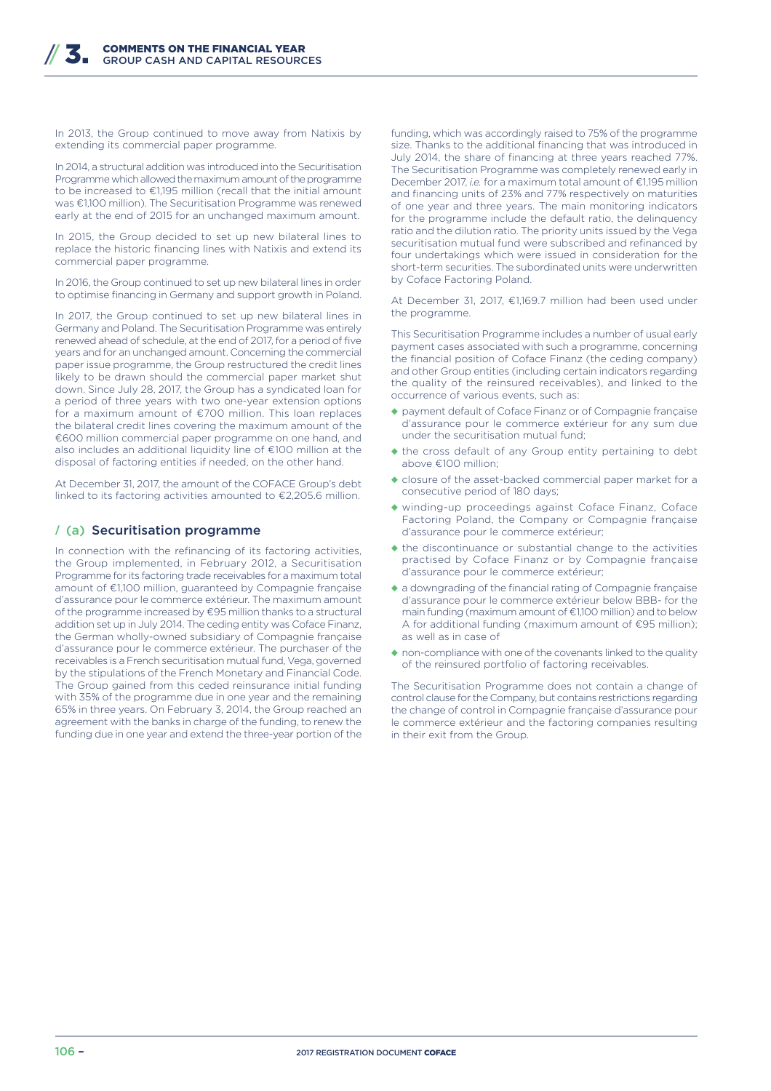In 2013, the Group continued to move away from Natixis by extending its commercial paper programme.

In 2014, a structural addition was introduced into the Securitisation Programme which allowed the maximum amount of the programme to be increased to €1,195 million (recall that the initial amount was €1,100 million). The Securitisation Programme was renewed early at the end of 2015 for an unchanged maximum amount.

In 2015, the Group decided to set up new bilateral lines to replace the historic financing lines with Natixis and extend its commercial paper programme.

In 2016, the Group continued to set up new bilateral lines in order to optimise financing in Germany and support growth in Poland.

In 2017, the Group continued to set up new bilateral lines in Germany and Poland. The Securitisation Programme was entirely renewed ahead of schedule, at the end of 2017, for a period of five years and for an unchanged amount. Concerning the commercial paper issue programme, the Group restructured the credit lines likely to be drawn should the commercial paper market shut down. Since July 28, 2017, the Group has a syndicated loan for a period of three years with two one-year extension options for a maximum amount of €700 million. This loan replaces the bilateral credit lines covering the maximum amount of the €600 million commercial paper programme on one hand, and also includes an additional liquidity line of €100 million at the disposal of factoring entities if needed, on the other hand.

At December 31, 2017, the amount of the COFACE Group's debt linked to its factoring activities amounted to €2,205.6 million.

#### **/** (a) Securitisation programme

In connection with the refinancing of its factoring activities, the Group implemented, in February 2012, a Securitisation Programme for its factoring trade receivables for a maximum total amount of €1,100 million, guaranteed by Compagnie française d'assurance pour le commerce extérieur. The maximum amount of the programme increased by €95 million thanks to a structural addition set up in July 2014. The ceding entity was Coface Finanz, the German wholly-owned subsidiary of Compagnie française d'assurance pour le commerce extérieur. The purchaser of the receivables is a French securitisation mutual fund, Vega, governed by the stipulations of the French Monetary and Financial Code. The Group gained from this ceded reinsurance initial funding with 35% of the programme due in one year and the remaining 65% in three years. On February 3, 2014, the Group reached an agreement with the banks in charge of the funding, to renew the funding due in one year and extend the three-year portion of the

funding, which was accordingly raised to 75% of the programme size. Thanks to the additional financing that was introduced in July 2014, the share of financing at three years reached 77%. The Securitisation Programme was completely renewed early in December 2017, *i.e.* for a maximum total amount of €1,195 million and financing units of 23% and 77% respectively on maturities of one year and three years. The main monitoring indicators for the programme include the default ratio, the delinquency ratio and the dilution ratio. The priority units issued by the Vega securitisation mutual fund were subscribed and refinanced by four undertakings which were issued in consideration for the short-term securities. The subordinated units were underwritten by Coface Factoring Poland.

At December 31, 2017, €1,169.7 million had been used under the programme.

This Securitisation Programme includes a number of usual early payment cases associated with such a programme, concerning the financial position of Coface Finanz (the ceding company) and other Group entities (including certain indicators regarding the quality of the reinsured receivables), and linked to the occurrence of various events, such as:

- ◆ payment default of Coface Finanz or of Compagnie française d'assurance pour le commerce extérieur for any sum due under the securitisation mutual fund;
- ◆ the cross default of any Group entity pertaining to debt above €100 million;
- ◆ closure of the asset-backed commercial paper market for a consecutive period of 180 days;
- ◆ winding-up proceedings against Coface Finanz, Coface Factoring Poland, the Company or Compagnie française d'assurance pour le commerce extérieur;
- ◆ the discontinuance or substantial change to the activities practised by Coface Finanz or by Compagnie française d'assurance pour le commerce extérieur;
- ◆ a downgrading of the financial rating of Compagnie française d'assurance pour le commerce extérieur below BBB- for the main funding (maximum amount of €1,100 million) and to below A for additional funding (maximum amount of €95 million); as well as in case of
- ◆ non-compliance with one of the covenants linked to the quality of the reinsured portfolio of factoring receivables.

The Securitisation Programme does not contain a change of control clause for the Company, but contains restrictions regarding the change of control in Compagnie française d'assurance pour le commerce extérieur and the factoring companies resulting in their exit from the Group.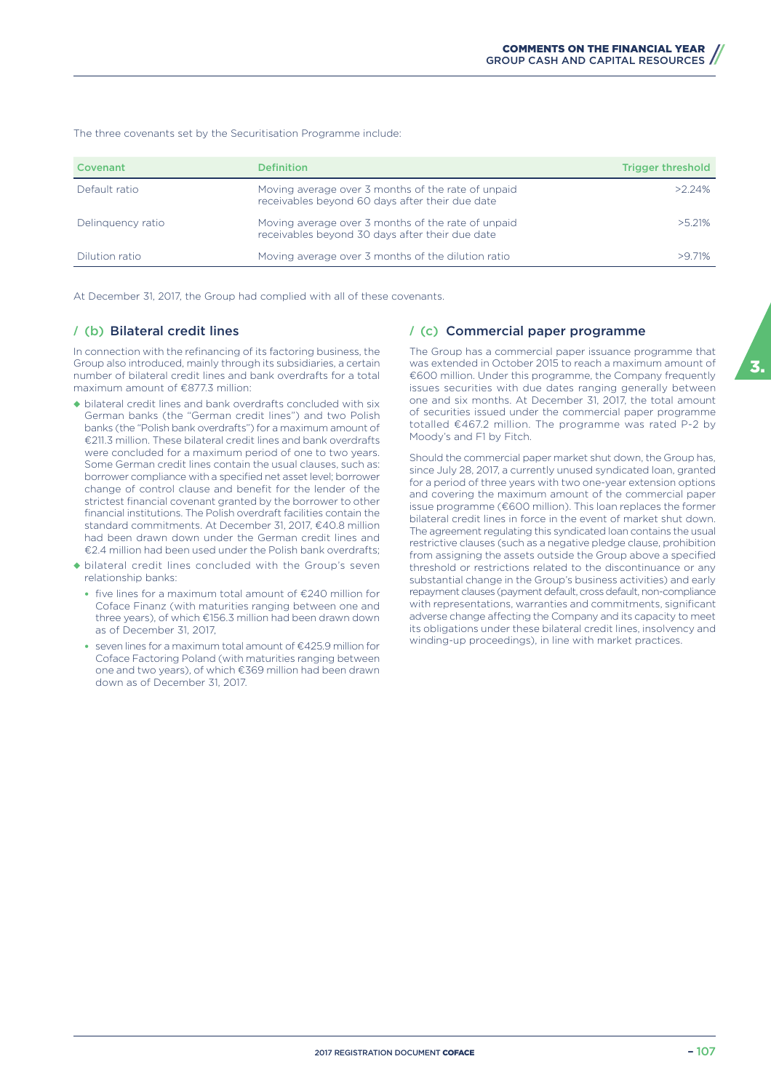The three covenants set by the Securitisation Programme include:

| Covenant          | Definition                                                                                            | <b>Trigger threshold</b> |
|-------------------|-------------------------------------------------------------------------------------------------------|--------------------------|
| Default ratio     | Moving average over 3 months of the rate of unpaid<br>receivables beyond 60 days after their due date | $>2.24\%$                |
| Delinguency ratio | Moving average over 3 months of the rate of unpaid<br>receivables beyond 30 days after their due date | $>$ 5 21%                |
| Dilution ratio    | Moving average over 3 months of the dilution ratio                                                    | >971%                    |

At December 31, 2017, the Group had complied with all of these covenants.

#### **/** (b) Bilateral credit lines

In connection with the refinancing of its factoring business, the Group also introduced, mainly through its subsidiaries, a certain number of bilateral credit lines and bank overdrafts for a total maximum amount of €877.3 million:

- ◆ bilateral credit lines and bank overdrafts concluded with six German banks (the "German credit lines") and two Polish banks (the "Polish bank overdrafts") for a maximum amount of €211.3 million. These bilateral credit lines and bank overdrafts were concluded for a maximum period of one to two years. Some German credit lines contain the usual clauses, such as: borrower compliance with a specified net asset level; borrower change of control clause and benefit for the lender of the strictest financial covenant granted by the borrower to other financial institutions. The Polish overdraft facilities contain the standard commitments. At December 31, 2017, €40.8 million had been drawn down under the German credit lines and €2.4 million had been used under the Polish bank overdrafts;
- ◆ bilateral credit lines concluded with the Group's seven relationship banks:
	- five lines for a maximum total amount of €240 million for Coface Finanz (with maturities ranging between one and three years), of which €156.3 million had been drawn down as of December 31, 2017,
	- seven lines for a maximum total amount of €425.9 million for Coface Factoring Poland (with maturities ranging between one and two years), of which €369 million had been drawn down as of December 31, 2017.

#### **/** (c) Commercial paper programme

The Group has a commercial paper issuance programme that was extended in October 2015 to reach a maximum amount of €600 million. Under this programme, the Company frequently issues securities with due dates ranging generally between one and six months. At December 31, 2017, the total amount of securities issued under the commercial paper programme totalled €467.2 million. The programme was rated P-2 by Moody's and F1 by Fitch.

Should the commercial paper market shut down, the Group has, since July 28, 2017, a currently unused syndicated loan, granted for a period of three years with two one-year extension options and covering the maximum amount of the commercial paper issue programme (€600 million). This loan replaces the former bilateral credit lines in force in the event of market shut down. The agreement regulating this syndicated loan contains the usual restrictive clauses (such as a negative pledge clause, prohibition from assigning the assets outside the Group above a specified threshold or restrictions related to the discontinuance or any substantial change in the Group's business activities) and early repayment clauses (payment default, cross default, non-compliance with representations, warranties and commitments, significant adverse change affecting the Company and its capacity to meet its obligations under these bilateral credit lines, insolvency and winding-up proceedings), in line with market practices.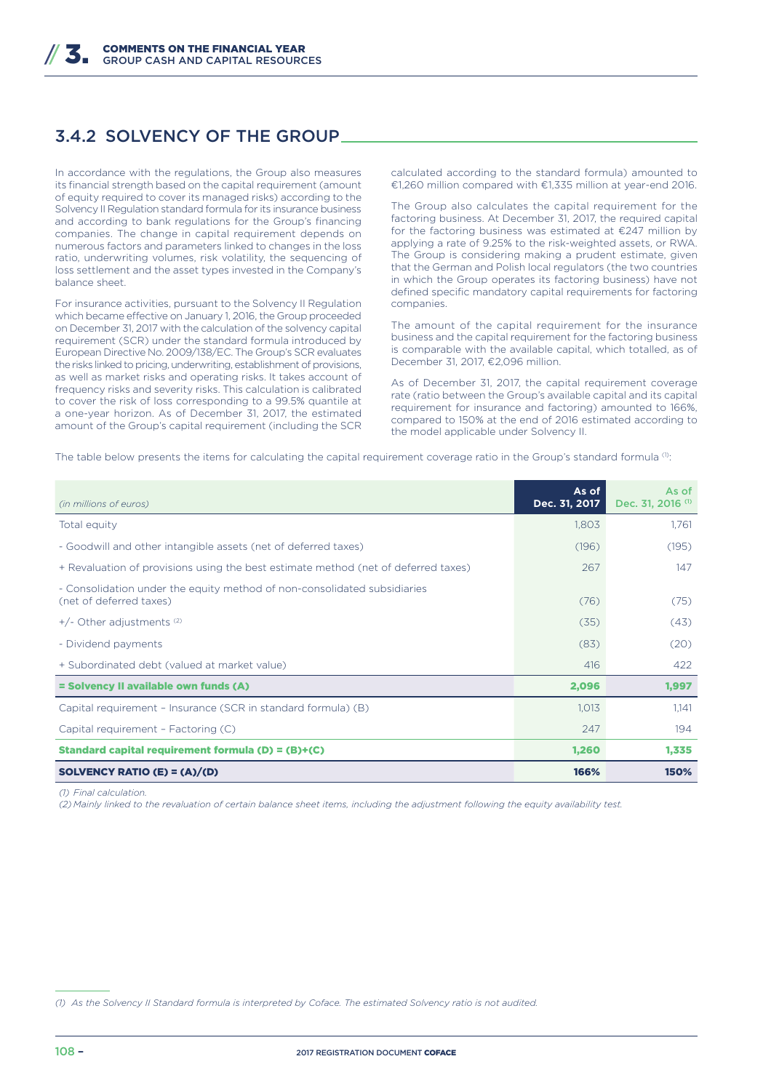### 3.4.2 SOLVENCY OF THE GROUP

In accordance with the regulations, the Group also measures its financial strength based on the capital requirement (amount of equity required to cover its managed risks) according to the Solvency II Regulation standard formula for its insurance business and according to bank regulations for the Group's financing companies. The change in capital requirement depends on numerous factors and parameters linked to changes in the loss ratio, underwriting volumes, risk volatility, the sequencing of loss settlement and the asset types invested in the Company's balance sheet.

For insurance activities, pursuant to the Solvency II Regulation which became effective on January 1, 2016, the Group proceeded on December 31, 2017 with the calculation of the solvency capital requirement (SCR) under the standard formula introduced by European Directive No. 2009/138/EC. The Group's SCR evaluates the risks linked to pricing, underwriting, establishment of provisions, as well as market risks and operating risks. It takes account of frequency risks and severity risks. This calculation is calibrated to cover the risk of loss corresponding to a 99.5% quantile at a one-year horizon. As of December 31, 2017, the estimated amount of the Group's capital requirement (including the SCR

calculated according to the standard formula) amounted to €1,260 million compared with €1,335 million at year-end 2016.

The Group also calculates the capital requirement for the factoring business. At December 31, 2017, the required capital for the factoring business was estimated at €247 million by applying a rate of 9.25% to the risk-weighted assets, or RWA. The Group is considering making a prudent estimate, given that the German and Polish local regulators (the two countries in which the Group operates its factoring business) have not defined specific mandatory capital requirements for factoring companies.

The amount of the capital requirement for the insurance business and the capital requirement for the factoring business is comparable with the available capital, which totalled, as of December 31, 2017, €2,096 million.

As of December 31, 2017, the capital requirement coverage rate (ratio between the Group's available capital and its capital requirement for insurance and factoring) amounted to 166%, compared to 150% at the end of 2016 estimated according to the model applicable under Solvency II.

The table below presents the items for calculating the capital requirement coverage ratio in the Group's standard formula (1):

| (in millions of euros)                                                                              | As of<br>Dec. 31, 2017 | As of<br>Dec. 31, 2016 <sup>(1)</sup> |
|-----------------------------------------------------------------------------------------------------|------------------------|---------------------------------------|
| Total equity                                                                                        | 1,803                  | 1,761                                 |
| - Goodwill and other intangible assets (net of deferred taxes)                                      | (196)                  | (195)                                 |
| + Revaluation of provisions using the best estimate method (net of deferred taxes)                  | 267                    | 147                                   |
| - Consolidation under the equity method of non-consolidated subsidiaries<br>(net of deferred taxes) | (76)                   | (75)                                  |
| $+/-$ Other adjustments <sup>(2)</sup>                                                              | (35)                   | (43)                                  |
| - Dividend payments                                                                                 | (83)                   | (20)                                  |
| + Subordinated debt (valued at market value)                                                        | 416                    | 422                                   |
| = Solvency II available own funds (A)                                                               | 2,096                  | 1,997                                 |
| Capital requirement - Insurance (SCR in standard formula) (B)                                       | 1,013                  | 1.141                                 |
| Capital requirement - Factoring (C)                                                                 | 247                    | 194                                   |
| Standard capital requirement formula (D) = (B)+(C)                                                  | 1,260                  | 1,335                                 |
| SOLVENCY RATIO (E) = $(A)/(D)$                                                                      | 166%                   | 150%                                  |

*(1) Final calculation.*

*(2) Mainly linked to the revaluation of certain balance sheet items, including the adjustment following the equity availability test.*

*<sup>(1)</sup> As the Solvency II Standard formula is interpreted by Coface. The estimated Solvency ratio is not audited.*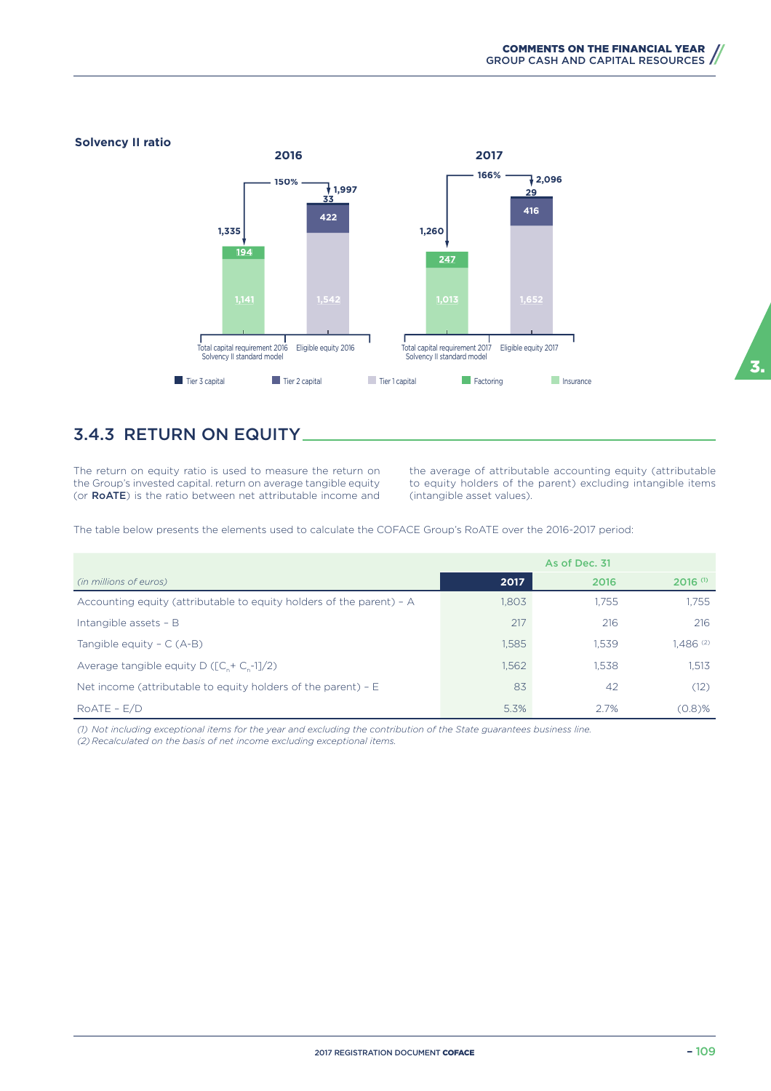

### 3.4.3 RETURN ON EQUITY

The return on equity ratio is used to measure the return on the Group's invested capital. return on average tangible equity (or RoATE) is the ratio between net attributable income and the average of attributable accounting equity (attributable to equity holders of the parent) excluding intangible items (intangible asset values).

The table below presents the elements used to calculate the COFACE Group's RoATE over the 2016-2017 period:

|                                                                      |       | As of Dec. 31 |                        |
|----------------------------------------------------------------------|-------|---------------|------------------------|
| (in millions of euros)                                               | 2017  | 2016          | $2016$ <sup>(1)</sup>  |
| Accounting equity (attributable to equity holders of the parent) - A | 1.803 | 1.755         | 1.755                  |
| Intangible assets - B                                                | 217   | 216           | 216                    |
| Tangible equity $- C (A-B)$                                          | 1,585 | 1.539         | $1.486$ <sup>(2)</sup> |
| Average tangible equity D ( $[C_{n} + C_{n} -1]/2$ )                 | 1,562 | 1.538         | 1.513                  |
| Net income (attributable to equity holders of the parent) $- E$      | 83    | -42           | (12)                   |
| $ROATE - E/D$                                                        | 5.3%  | 2.7%          | (0.8)%                 |

*(1) Not including exceptional items for the year and excluding the contribution of the State guarantees business line.*

*(2) Recalculated on the basis of net income excluding exceptional items.*

3.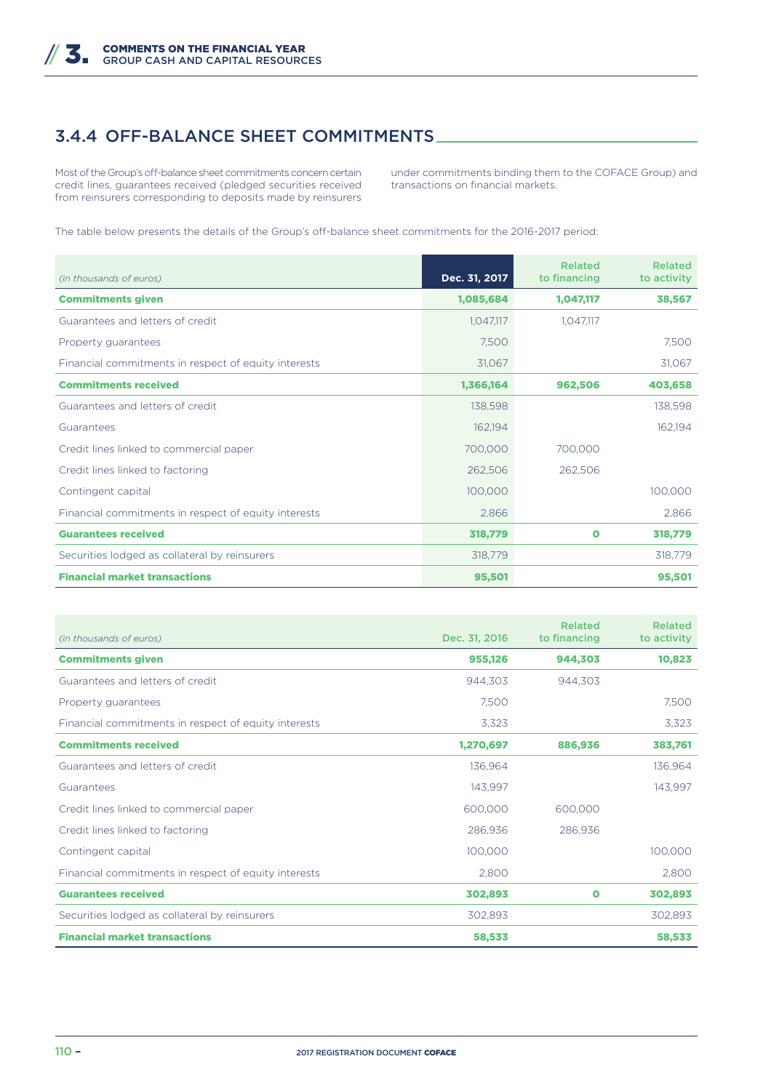### 3.4.4 OFF-BALANCE SHEET COMMITMENTS

Most of the Group's off-balance sheet commitments concern certain credit lines, guarantees received (pledged securities received from reinsurers corresponding to deposits made by reinsurers under commitments binding them to the COFACE Group) and transactions on financial markets.

The table below presents the details of the Group's off-balance sheet commitments for the 2016-2017 period:

| (in thousands of euros)                              | Dec. 31, 2017 | <b>Related</b><br>to financing | <b>Related</b><br>to activity |
|------------------------------------------------------|---------------|--------------------------------|-------------------------------|
| <b>Commitments given</b>                             | 1,085,684     | 1,047,117                      | 38,567                        |
| Guarantees and letters of credit                     | 1,047,117     | 1,047,117                      |                               |
| Property guarantees                                  | 7,500         |                                | 7,500                         |
| Financial commitments in respect of equity interests | 31,067        |                                | 31,067                        |
| <b>Commitments received</b>                          | 1,366,164     | 962,506                        | 403,658                       |
| Guarantees and letters of credit                     | 138,598       |                                | 138,598                       |
| Guarantees                                           | 162,194       |                                | 162,194                       |
| Credit lines linked to commercial paper              | 700,000       | 700,000                        |                               |
| Credit lines linked to factoring                     | 262,506       | 262,506                        |                               |
| Contingent capital                                   | 100,000       |                                | 100,000                       |
| Financial commitments in respect of equity interests | 2,866         |                                | 2,866                         |
| <b>Guarantees received</b>                           | 318,779       | $\bullet$                      | 318,779                       |
| Securities lodged as collateral by reinsurers        | 318,779       |                                | 318,779                       |
| <b>Financial market transactions</b>                 | 95,501        |                                | 95,501                        |

| (in thousands of euros)                              | Dec. 31, 2016 | <b>Related</b><br>to financing | <b>Related</b><br>to activity |
|------------------------------------------------------|---------------|--------------------------------|-------------------------------|
| <b>Commitments given</b>                             | 955,126       | 944,303                        | 10,823                        |
| Guarantees and letters of credit                     | 944.303       | 944.303                        |                               |
| Property guarantees                                  | 7,500         |                                | 7,500                         |
| Financial commitments in respect of equity interests | 3.323         |                                | 3,323                         |
| <b>Commitments received</b>                          | 1,270,697     | 886,936                        | 383,761                       |
| Guarantees and letters of credit                     | 136,964       |                                | 136,964                       |
| Guarantees                                           | 143,997       |                                | 143,997                       |
| Credit lines linked to commercial paper              | 600,000       | 600,000                        |                               |
| Credit lines linked to factoring                     | 286,936       | 286,936                        |                               |
| Contingent capital                                   | 100,000       |                                | 100,000                       |
| Financial commitments in respect of equity interests | 2,800         |                                | 2,800                         |
| <b>Guarantees received</b>                           | 302,893       | $\mathbf o$                    | 302,893                       |
| Securities lodged as collateral by reinsurers        | 302,893       |                                | 302,893                       |
| <b>Financial market transactions</b>                 | 58,533        |                                | 58,533                        |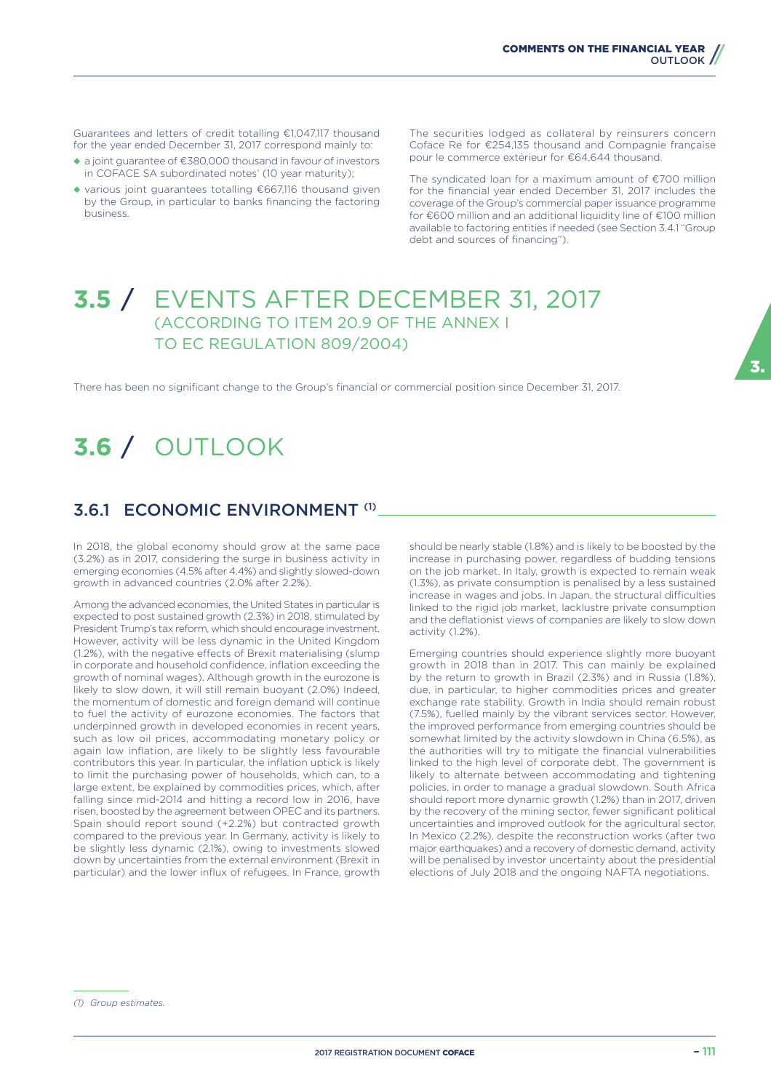Guarantees and letters of credit totalling €1,047,117 thousand for the year ended December 31, 2017 correspond mainly to:

- ◆ a joint guarantee of €380,000 thousand in favour of investors in COFACE SA subordinated notes' (10 year maturity);
- ◆ various joint guarantees totalling €667,116 thousand given by the Group, in particular to banks financing the factoring business.

The securities lodged as collateral by reinsurers concern Coface Re for €254,135 thousand and Compagnie française pour le commerce extérieur for €64,644 thousand.

The syndicated loan for a maximum amount of €700 million for the financial year ended December 31, 2017 includes the coverage of the Group's commercial paper issuance programme for €600 million and an additional liquidity line of €100 million available to factoring entities if needed (see Section 3.4.1 "Group debt and sources of financing").

### **3.5** / EVENTS AFTER DECEMBER 31, 2017 (ACCORDING TO ITEM 20.9 OF THE ANNEX I TO EC REGULATION 809/2004)

There has been no significant change to the Group's financial or commercial position since December 31, 2017.

# **3.6** / OUTLOOK

### 3.6.1 ECONOMIC ENVIRONMENT (1)

In 2018, the global economy should grow at the same pace (3.2%) as in 2017, considering the surge in business activity in emerging economies (4.5% after 4.4%) and slightly slowed-down growth in advanced countries (2.0% after 2.2%).

Among the advanced economies, the United States in particular is expected to post sustained growth (2.3%) in 2018, stimulated by President Trump's tax reform, which should encourage investment. However, activity will be less dynamic in the United Kingdom (1.2%), with the negative effects of Brexit materialising (slump in corporate and household confidence, inflation exceeding the growth of nominal wages). Although growth in the eurozone is likely to slow down, it will still remain buoyant (2.0%) Indeed, the momentum of domestic and foreign demand will continue to fuel the activity of eurozone economies. The factors that underpinned growth in developed economies in recent years, such as low oil prices, accommodating monetary policy or again low inflation, are likely to be slightly less favourable contributors this year. In particular, the inflation uptick is likely to limit the purchasing power of households, which can, to a large extent, be explained by commodities prices, which, after falling since mid-2014 and hitting a record low in 2016, have risen, boosted by the agreement between OPEC and its partners. Spain should report sound (+2.2%) but contracted growth compared to the previous year. In Germany, activity is likely to be slightly less dynamic (2.1%), owing to investments slowed down by uncertainties from the external environment (Brexit in particular) and the lower influx of refugees. In France, growth

should be nearly stable (1.8%) and is likely to be boosted by the increase in purchasing power, regardless of budding tensions on the job market. In Italy, growth is expected to remain weak (1.3%), as private consumption is penalised by a less sustained increase in wages and jobs. In Japan, the structural difficulties linked to the rigid job market, lacklustre private consumption and the deflationist views of companies are likely to slow down activity (1.2%).

Emerging countries should experience slightly more buoyant growth in 2018 than in 2017. This can mainly be explained by the return to growth in Brazil (2.3%) and in Russia (1.8%), due, in particular, to higher commodities prices and greater exchange rate stability. Growth in India should remain robust (7.5%), fuelled mainly by the vibrant services sector. However, the improved performance from emerging countries should be somewhat limited by the activity slowdown in China (6.5%), as the authorities will try to mitigate the financial vulnerabilities linked to the high level of corporate debt. The government is likely to alternate between accommodating and tightening policies, in order to manage a gradual slowdown. South Africa should report more dynamic growth (1.2%) than in 2017, driven by the recovery of the mining sector, fewer significant political uncertainties and improved outlook for the agricultural sector. In Mexico (2.2%), despite the reconstruction works (after two major earthquakes) and a recovery of domestic demand, activity will be penalised by investor uncertainty about the presidential elections of July 2018 and the ongoing NAFTA negotiations.

*(1) Group estimates.*

3.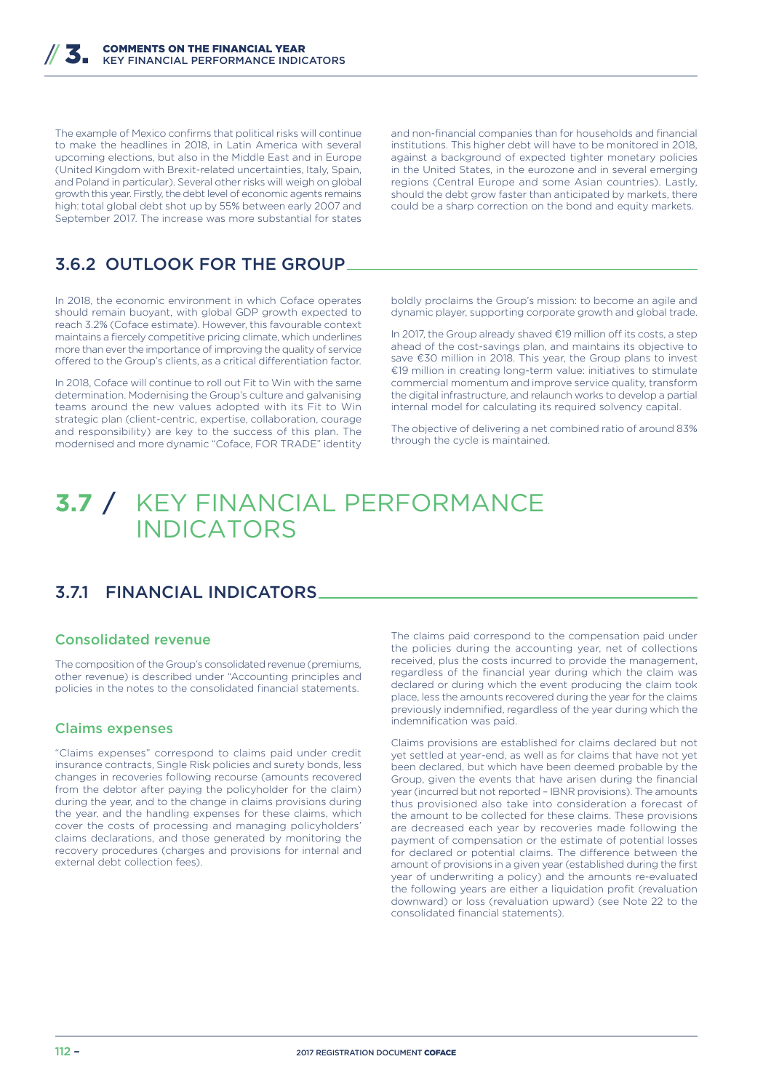The example of Mexico confirms that political risks will continue to make the headlines in 2018, in Latin America with several upcoming elections, but also in the Middle East and in Europe (United Kingdom with Brexit-related uncertainties, Italy, Spain, and Poland in particular). Several other risks will weigh on global growth this year. Firstly, the debt level of economic agents remains high: total global debt shot up by 55% between early 2007 and September 2017. The increase was more substantial for states

and non-financial companies than for households and financial institutions. This higher debt will have to be monitored in 2018, against a background of expected tighter monetary policies in the United States, in the eurozone and in several emerging regions (Central Europe and some Asian countries). Lastly, should the debt grow faster than anticipated by markets, there could be a sharp correction on the bond and equity markets.

### 3.6.2 OUTLOOK FOR THE GROUP

In 2018, the economic environment in which Coface operates should remain buoyant, with global GDP growth expected to reach 3.2% (Coface estimate). However, this favourable context maintains a fiercely competitive pricing climate, which underlines more than ever the importance of improving the quality of service offered to the Group's clients, as a critical differentiation factor.

In 2018, Coface will continue to roll out Fit to Win with the same determination. Modernising the Group's culture and galvanising teams around the new values adopted with its Fit to Win strategic plan (client-centric, expertise, collaboration, courage and responsibility) are key to the success of this plan. The modernised and more dynamic "Coface, FOR TRADE" identity

boldly proclaims the Group's mission: to become an agile and dynamic player, supporting corporate growth and global trade.

In 2017, the Group already shaved €19 million off its costs, a step ahead of the cost-savings plan, and maintains its objective to save €30 million in 2018. This year, the Group plans to invest €19 million in creating long-term value: initiatives to stimulate commercial momentum and improve service quality, transform the digital infrastructure, and relaunch works to develop a partial internal model for calculating its required solvency capital.

The objective of delivering a net combined ratio of around 83% through the cycle is maintained.

## **3.7** / KEY FINANCIAL PERFORMANCE INDICATORS

### 3.7.1 FINANCIAL INDICATORS

#### Consolidated revenue

The composition of the Group's consolidated revenue (premiums, other revenue) is described under "Accounting principles and policies in the notes to the consolidated financial statements.

#### Claims expenses

"Claims expenses" correspond to claims paid under credit insurance contracts, Single Risk policies and surety bonds, less changes in recoveries following recourse (amounts recovered from the debtor after paying the policyholder for the claim) during the year, and to the change in claims provisions during the year, and the handling expenses for these claims, which cover the costs of processing and managing policyholders' claims declarations, and those generated by monitoring the recovery procedures (charges and provisions for internal and external debt collection fees).

The claims paid correspond to the compensation paid under the policies during the accounting year, net of collections received, plus the costs incurred to provide the management, regardless of the financial year during which the claim was declared or during which the event producing the claim took place, less the amounts recovered during the year for the claims previously indemnified, regardless of the year during which the indemnification was paid.

Claims provisions are established for claims declared but not yet settled at year-end, as well as for claims that have not yet been declared, but which have been deemed probable by the Group, given the events that have arisen during the financial year (incurred but not reported – IBNR provisions). The amounts thus provisioned also take into consideration a forecast of the amount to be collected for these claims. These provisions are decreased each year by recoveries made following the payment of compensation or the estimate of potential losses for declared or potential claims. The difference between the amount of provisions in a given year (established during the first year of underwriting a policy) and the amounts re-evaluated the following years are either a liquidation profit (revaluation downward) or loss (revaluation upward) (see Note 22 to the consolidated financial statements).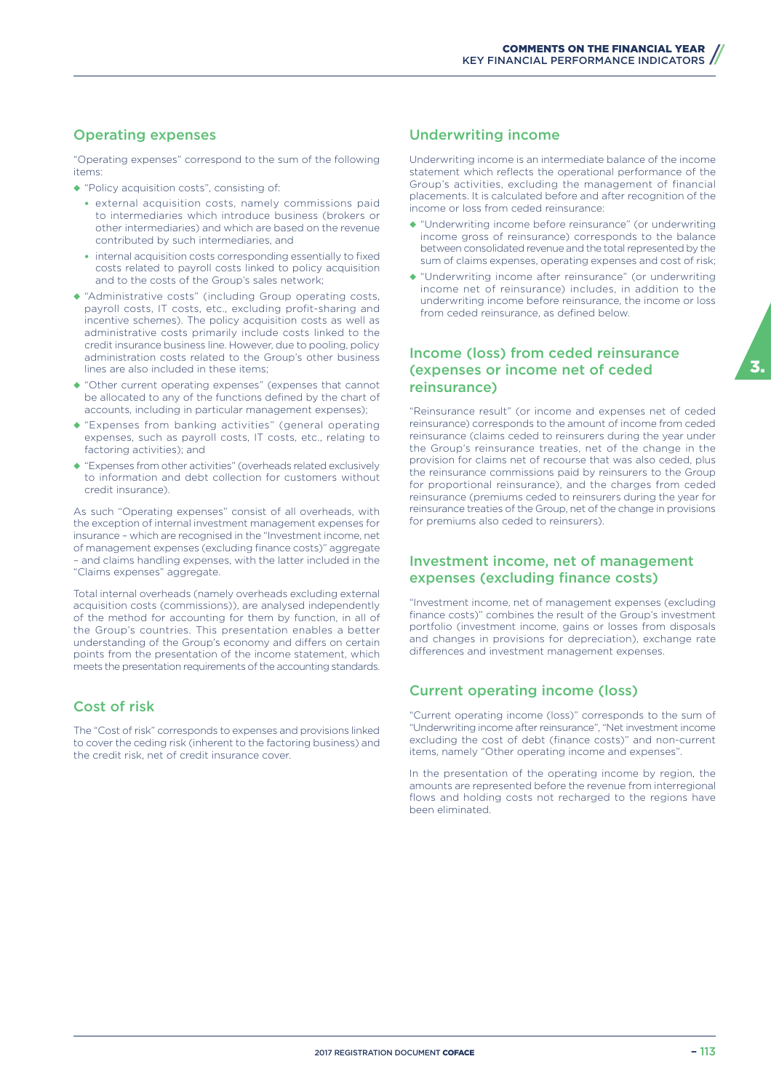#### Operating expenses

"Operating expenses" correspond to the sum of the following items:

- ◆ "Policy acquisition costs", consisting of:
	- external acquisition costs, namely commissions paid to intermediaries which introduce business (brokers or other intermediaries) and which are based on the revenue contributed by such intermediaries, and
	- internal acquisition costs corresponding essentially to fixed costs related to payroll costs linked to policy acquisition and to the costs of the Group's sales network;
- ◆ "Administrative costs" (including Group operating costs, payroll costs, IT costs, etc., excluding profit-sharing and incentive schemes). The policy acquisition costs as well as administrative costs primarily include costs linked to the credit insurance business line. However, due to pooling, policy administration costs related to the Group's other business lines are also included in these items;
- ◆ "Other current operating expenses" (expenses that cannot be allocated to any of the functions defined by the chart of accounts, including in particular management expenses);
- ◆ "Expenses from banking activities" (general operating expenses, such as payroll costs, IT costs, etc., relating to factoring activities); and
- ◆ "Expenses from other activities" (overheads related exclusively to information and debt collection for customers without credit insurance).

As such "Operating expenses" consist of all overheads, with the exception of internal investment management expenses for insurance – which are recognised in the "Investment income, net of management expenses (excluding finance costs)" aggregate – and claims handling expenses, with the latter included in the "Claims expenses" aggregate.

Total internal overheads (namely overheads excluding external acquisition costs (commissions)), are analysed independently of the method for accounting for them by function, in all of the Group's countries. This presentation enables a better understanding of the Group's economy and differs on certain points from the presentation of the income statement, which meets the presentation requirements of the accounting standards.

### Cost of risk

The "Cost of risk" corresponds to expenses and provisions linked to cover the ceding risk (inherent to the factoring business) and the credit risk, net of credit insurance cover.

#### Underwriting income

Underwriting income is an intermediate balance of the income statement which reflects the operational performance of the Group's activities, excluding the management of financial placements. It is calculated before and after recognition of the income or loss from ceded reinsurance:

- ◆ "Underwriting income before reinsurance" (or underwriting income gross of reinsurance) corresponds to the balance between consolidated revenue and the total represented by the sum of claims expenses, operating expenses and cost of risk;
- ◆ "Underwriting income after reinsurance" (or underwriting income net of reinsurance) includes, in addition to the underwriting income before reinsurance, the income or loss from ceded reinsurance, as defined below.

#### Income (loss) from ceded reinsurance (expenses or income net of ceded reinsurance)

"Reinsurance result" (or income and expenses net of ceded reinsurance) corresponds to the amount of income from ceded reinsurance (claims ceded to reinsurers during the year under the Group's reinsurance treaties, net of the change in the provision for claims net of recourse that was also ceded, plus the reinsurance commissions paid by reinsurers to the Group for proportional reinsurance), and the charges from ceded reinsurance (premiums ceded to reinsurers during the year for reinsurance treaties of the Group, net of the change in provisions for premiums also ceded to reinsurers).

#### Investment income, net of management expenses (excluding finance costs)

"Investment income, net of management expenses (excluding finance costs)" combines the result of the Group's investment portfolio (investment income, gains or losses from disposals and changes in provisions for depreciation), exchange rate differences and investment management expenses.

### Current operating income (loss)

"Current operating income (loss)" corresponds to the sum of "Underwriting income after reinsurance", "Net investment income excluding the cost of debt (finance costs)" and non-current items, namely "Other operating income and expenses".

In the presentation of the operating income by region, the amounts are represented before the revenue from interregional flows and holding costs not recharged to the regions have been eliminated.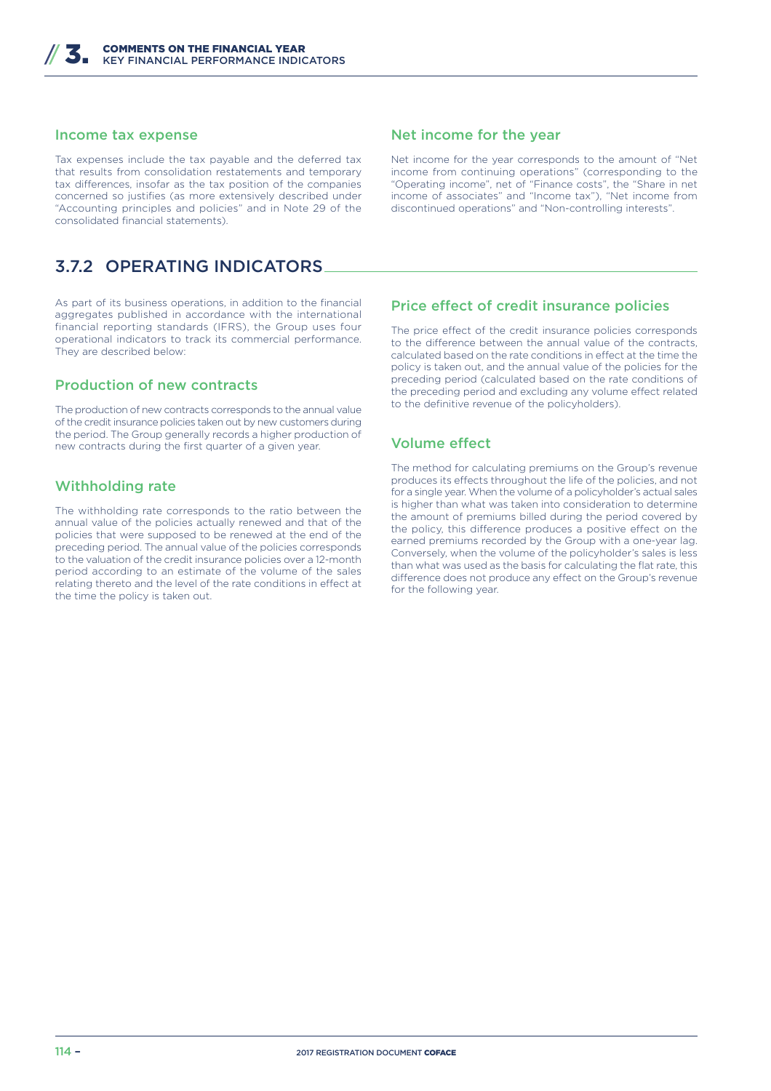#### Income tax expense

Tax expenses include the tax payable and the deferred tax that results from consolidation restatements and temporary tax differences, insofar as the tax position of the companies concerned so justifies (as more extensively described under "Accounting principles and policies" and in Note 29 of the consolidated financial statements).

### 3.7.2 OPERATING INDICATORS

As part of its business operations, in addition to the financial aggregates published in accordance with the international financial reporting standards (IFRS), the Group uses four operational indicators to track its commercial performance. They are described below:

#### Production of new contracts

The production of new contracts corresponds to the annual value of the credit insurance policies taken out by new customers during the period. The Group generally records a higher production of new contracts during the first quarter of a given year.

#### Withholding rate

The withholding rate corresponds to the ratio between the annual value of the policies actually renewed and that of the policies that were supposed to be renewed at the end of the preceding period. The annual value of the policies corresponds to the valuation of the credit insurance policies over a 12-month period according to an estimate of the volume of the sales relating thereto and the level of the rate conditions in effect at the time the policy is taken out.

#### Net income for the year

Net income for the year corresponds to the amount of "Net income from continuing operations" (corresponding to the "Operating income", net of "Finance costs", the "Share in net income of associates" and "Income tax"), "Net income from discontinued operations" and "Non-controlling interests".

#### Price effect of credit insurance policies

The price effect of the credit insurance policies corresponds to the difference between the annual value of the contracts, calculated based on the rate conditions in effect at the time the policy is taken out, and the annual value of the policies for the preceding period (calculated based on the rate conditions of the preceding period and excluding any volume effect related to the definitive revenue of the policyholders).

#### **Volume effect**

The method for calculating premiums on the Group's revenue produces its effects throughout the life of the policies, and not for a single year. When the volume of a policyholder's actual sales is higher than what was taken into consideration to determine the amount of premiums billed during the period covered by the policy, this difference produces a positive effect on the earned premiums recorded by the Group with a one-year lag. Conversely, when the volume of the policyholder's sales is less than what was used as the basis for calculating the flat rate, this difference does not produce any effect on the Group's revenue for the following year.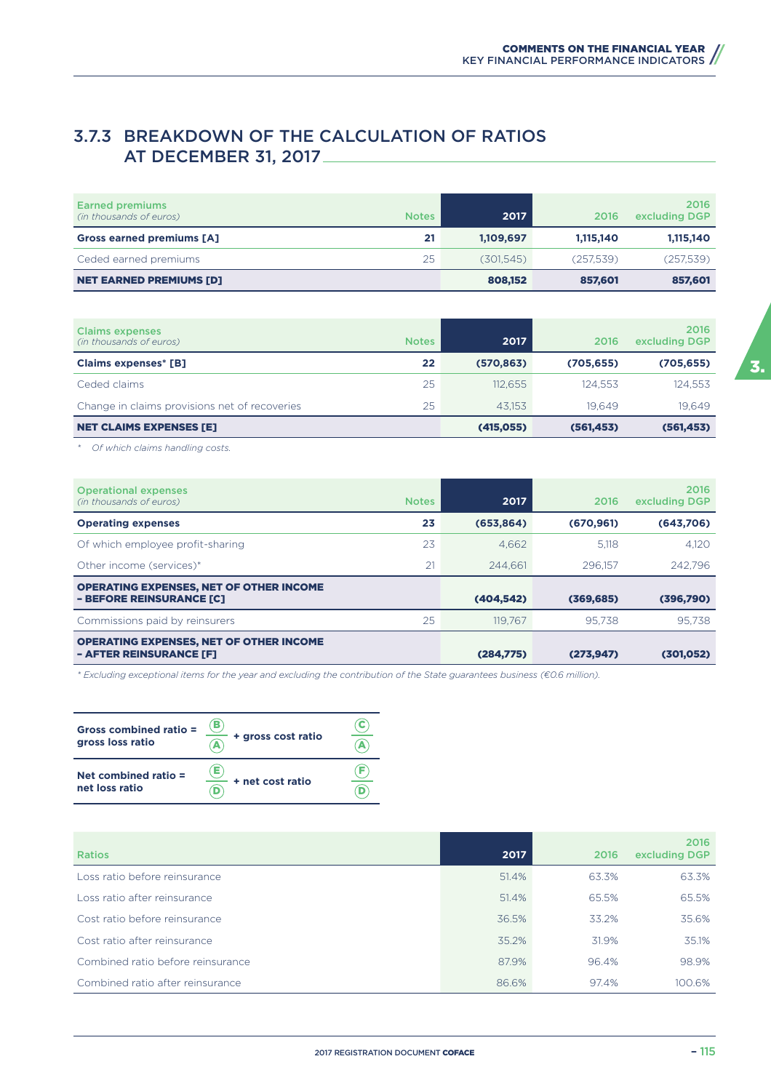### 3.7.3 BREAKDOWN OF THE CALCULATION OF RATIOS AT DECEMBER 31, 2017

| <b>NET EARNED PREMIUMS [D]</b>                    |              | 808,152   | 857.601   | 857,601               |
|---------------------------------------------------|--------------|-----------|-----------|-----------------------|
| Ceded earned premiums                             | 25           | (301.545) | (257,539) | (257,539)             |
| Gross earned premiums [A]                         | 21           | 1,109,697 | 1.115.140 | 1,115,140             |
| <b>Earned premiums</b><br>(in thousands of euros) | <b>Notes</b> | 2017      | 2016      | 2016<br>excluding DGP |

| <b>Claims expenses</b><br>(in thousands of euros) | <b>Notes</b> | 2017       | 2016       | 2016<br>excluding DGP |
|---------------------------------------------------|--------------|------------|------------|-----------------------|
| <b>Claims expenses* [B]</b>                       | 22           | (570, 863) | (705, 655) | (705, 655)            |
| Ceded claims                                      | 25           | 112.655    | 124.553    | 124.553               |
| Change in claims provisions net of recoveries     | 25           | 43.153     | 19.649     | 19.649                |
| <b>NET CLAIMS EXPENSES [E]</b>                    |              | (415, 055) | (561, 453) | (561, 453)            |

*\* Of which claims handling costs.*

| <b>Operational expenses</b><br>(in thousands of euros)                     | <b>Notes</b> | 2017       | 2016       | 2016<br>excluding DGP |
|----------------------------------------------------------------------------|--------------|------------|------------|-----------------------|
| <b>Operating expenses</b>                                                  | 23           | (653, 864) | (670, 961) | (643,706)             |
| Of which employee profit-sharing                                           | 23           | 4.662      | 5.118      | 4.120                 |
| Other income (services)*                                                   | 21           | 244.661    | 296,157    | 242.796               |
| <b>OPERATING EXPENSES, NET OF OTHER INCOME</b><br>- BEFORE REINSURANCE [C] |              | (404, 542) | (369, 685) | (396,790)             |
| Commissions paid by reinsurers                                             | 25           | 119.767    | 95.738     | 95.738                |
| <b>OPERATING EXPENSES, NET OF OTHER INCOME</b><br>- AFTER REINSURANCE [F]  |              | (284,775)  | (273, 947) | (301, 052)            |

*\* Excluding exceptional items for the year and excluding the contribution of the State guarantees business (€0.6 million).*

| Gross combined ratio $=$<br>gross loss ratio | в<br>+ gross cost ratio |  |
|----------------------------------------------|-------------------------|--|
| Net combined ratio $=$<br>net loss ratio     | Е<br>+ net cost ratio   |  |

| <b>Ratios</b>                     | 2017  | 2016  | 2016<br>excluding DGP |
|-----------------------------------|-------|-------|-----------------------|
| Loss ratio before reinsurance     | 51.4% | 63.3% | 63.3%                 |
| Loss ratio after reinsurance      | 51.4% | 65.5% | 65.5%                 |
| Cost ratio before reinsurance     | 36.5% | 33.2% | 35.6%                 |
| Cost ratio after reinsurance      | 35.2% | 31.9% | 35.1%                 |
| Combined ratio before reinsurance | 87.9% | 96.4% | 98.9%                 |
| Combined ratio after reinsurance  | 86.6% | 97.4% | 100.6%                |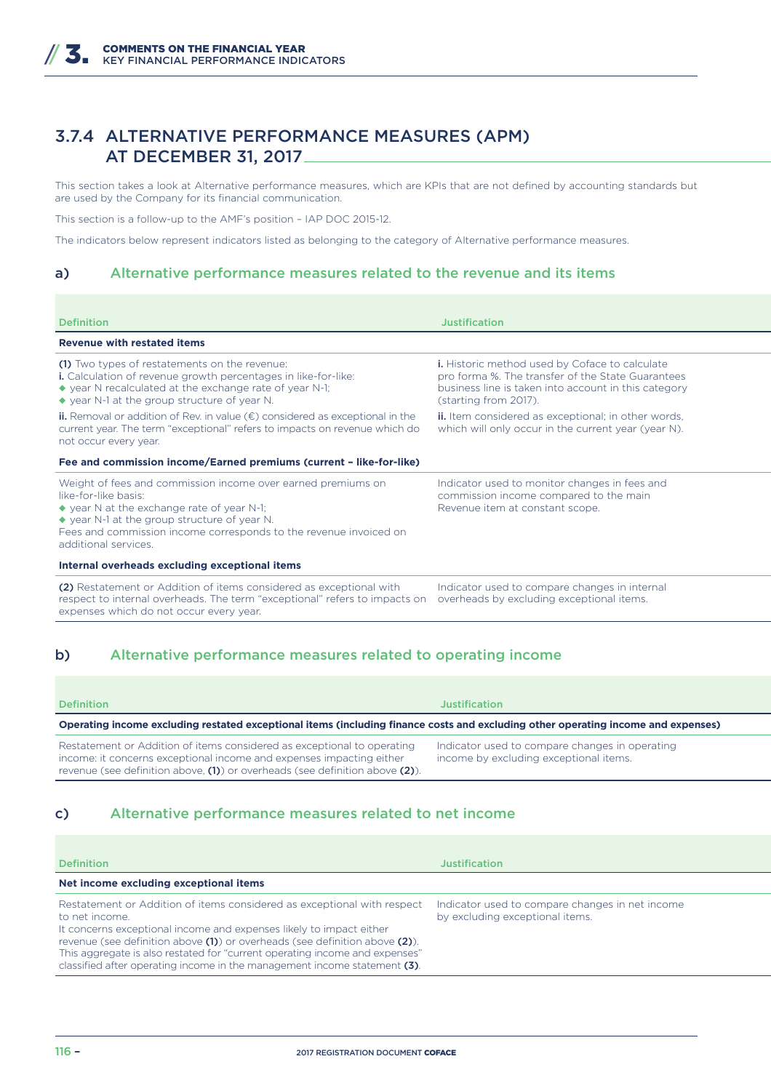### 3.7.4 ALTERNATIVE PERFORMANCE MEASURES (APM) AT DECEMBER 31, 2017

This section takes a look at Alternative performance measures, which are KPIs that are not defined by accounting standards but are used by the Company for its financial communication.

This section is a follow-up to the AMF's position – IAP DOC 2015-12.

The indicators below represent indicators listed as belonging to the category of Alternative performance measures.

#### a) Alternative performance measures related to the revenue and its items

| <b>Definition</b>                                                                                                                                                                                                                                                                               | <b>Justification</b>                                                                                                                                                                 |
|-------------------------------------------------------------------------------------------------------------------------------------------------------------------------------------------------------------------------------------------------------------------------------------------------|--------------------------------------------------------------------------------------------------------------------------------------------------------------------------------------|
| <b>Revenue with restated items</b>                                                                                                                                                                                                                                                              |                                                                                                                                                                                      |
| (1) Two types of restatements on the revenue:<br>i. Calculation of revenue growth percentages in like-for-like:<br>$\bullet$ year N recalculated at the exchange rate of year N-1;<br>◆ year N-1 at the group structure of year N.                                                              | i. Historic method used by Coface to calculate<br>pro forma %. The transfer of the State Guarantees<br>business line is taken into account in this category<br>(starting from 2017). |
| <b>ii.</b> Removal or addition of Rev. in value $(\epsilon)$ considered as exceptional in the<br>current year. The term "exceptional" refers to impacts on revenue which do<br>not occur every year.                                                                                            | ii. Item considered as exceptional; in other words,<br>which will only occur in the current year (year N).                                                                           |
| Fee and commission income/Earned premiums (current - like-for-like)                                                                                                                                                                                                                             |                                                                                                                                                                                      |
| Weight of fees and commission income over earned premiums on<br>like-for-like basis:<br>$\bullet$ year N at the exchange rate of year N-1;<br>$\bullet$ year N-1 at the group structure of year N.<br>Fees and commission income corresponds to the revenue invoiced on<br>additional services. | Indicator used to monitor changes in fees and<br>commission income compared to the main<br>Revenue item at constant scope.                                                           |
| Internal overheads excluding exceptional items                                                                                                                                                                                                                                                  |                                                                                                                                                                                      |
| (2) Restatement or Addition of items considered as exceptional with<br>respect to internal overheads. The term "exceptional" refers to impacts on<br>expenses which do not occur every year.                                                                                                    | Indicator used to compare changes in internal<br>overheads by excluding exceptional items.                                                                                           |

### b) Alternative performance measures related to operating income

| <b>Definition</b>                                                                                                                                                                                                                     | <b>Justification</b>                                                                     |
|---------------------------------------------------------------------------------------------------------------------------------------------------------------------------------------------------------------------------------------|------------------------------------------------------------------------------------------|
| Operating income excluding restated exceptional items (including finance costs and excluding other operating income and expenses)                                                                                                     |                                                                                          |
| Restatement or Addition of items considered as exceptional to operating<br>income: it concerns exceptional income and expenses impacting either<br>revenue (see definition above, $(1)$ ) or overheads (see definition above $(2)$ ). | Indicator used to compare changes in operating<br>income by excluding exceptional items. |

#### c) Alternative performance measures related to net income

| <b>Definition</b>                                                                                                                                                                                                                                                                                                                                                                                           | Justification                                                                      |
|-------------------------------------------------------------------------------------------------------------------------------------------------------------------------------------------------------------------------------------------------------------------------------------------------------------------------------------------------------------------------------------------------------------|------------------------------------------------------------------------------------|
| Net income excluding exceptional items                                                                                                                                                                                                                                                                                                                                                                      |                                                                                    |
| Restatement or Addition of items considered as exceptional with respect<br>to net income.<br>It concerns exceptional income and expenses likely to impact either<br>revenue (see definition above (1)) or overheads (see definition above (2)).<br>This aggregate is also restated for "current operating income and expenses"<br>classified after operating income in the management income statement (3). | Indicator used to compare changes in net income<br>by excluding exceptional items. |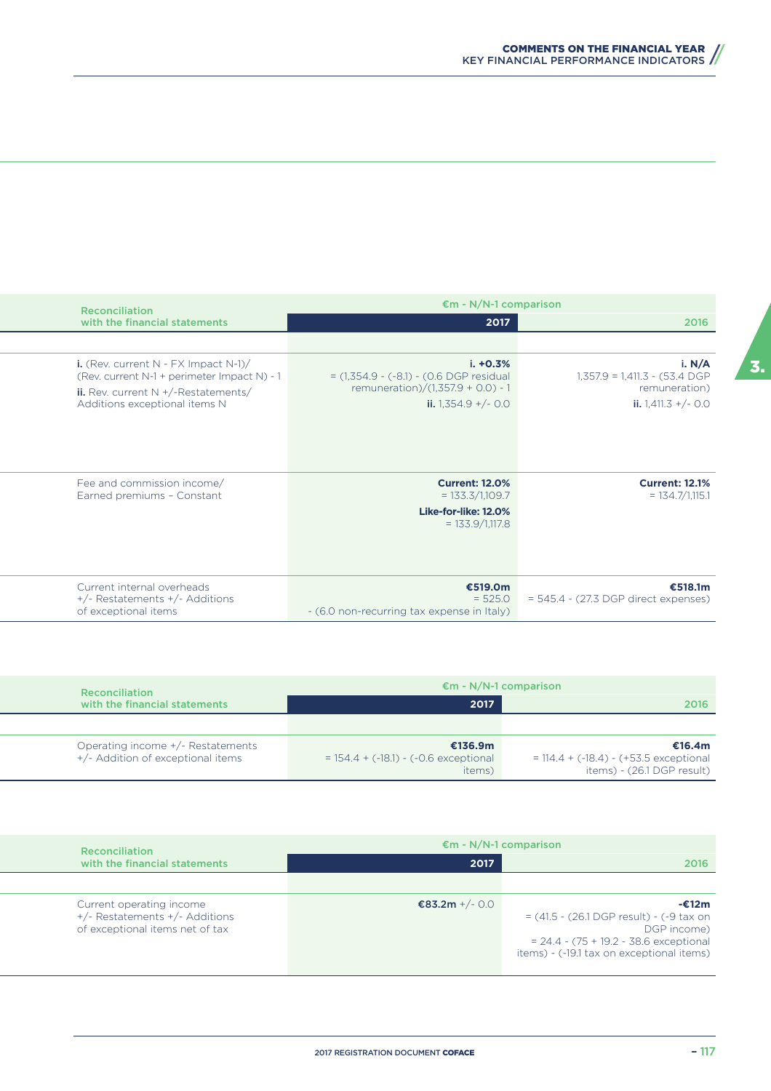| <b>Reconciliation</b>                                                                                                                                               | $\epsilon$ m - N/N-1 comparison                                                                                            |                                                                                       |
|---------------------------------------------------------------------------------------------------------------------------------------------------------------------|----------------------------------------------------------------------------------------------------------------------------|---------------------------------------------------------------------------------------|
| with the financial statements                                                                                                                                       | 2017                                                                                                                       | 2016                                                                                  |
|                                                                                                                                                                     |                                                                                                                            |                                                                                       |
| i. (Rev. current $N$ - FX Impact $N-1$ )/<br>(Rev. current N-1 + perimeter Impact N) - 1<br>ii. Rev. current $N +$ /-Restatements/<br>Additions exceptional items N | $i. +0.3%$<br>$= (1,354.9 - (-8.1) - (0.6)$ DGP residual<br>remuneration)/ $(1,357.9 + 0.0) - 1$<br>ii. $1,354.9 + (-0.0)$ | i. N/A<br>$1,357.9 = 1,411.3 - (53.4)$ DGP<br>remuneration)<br>ii. $1,411.3 + (-0.0)$ |
| Fee and commission income/<br>Earned premiums - Constant                                                                                                            | <b>Current: 12.0%</b><br>$= 133.3/1,109.7$<br>Like-for-like: 12.0%<br>$= 133.9/1,117.8$                                    | <b>Current: 12.1%</b><br>$= 134.7/1,115.1$                                            |
| Current internal overheads<br>+/- Restatements +/- Additions<br>of exceptional items                                                                                | €519.0m<br>$= 525.0$<br>- (6.0 non-recurring tax expense in Italy)                                                         | €518.1m<br>$= 545.4 - (27.3 \text{ DGP}$ direct expenses)                             |

| Reconciliation                                                         | $\epsilon$ m - N/N-1 comparison                              |                                                                                   |
|------------------------------------------------------------------------|--------------------------------------------------------------|-----------------------------------------------------------------------------------|
| with the financial statements                                          | 2017                                                         | 2016                                                                              |
|                                                                        |                                                              |                                                                                   |
| Operating income +/- Restatements<br>+/- Addition of exceptional items | €136.9m<br>$= 154.4 + (-18.1) - (-0.6$ exceptional<br>items) | €16.4m<br>$= 114.4 + (-18.4) - (+53.5)$ exceptional<br>items) - (26.1 DGP result) |

| <b>Reconciliation</b>                                                                         | $\epsilon$ m - N/N-1 comparison |                                                                                                                                                                              |
|-----------------------------------------------------------------------------------------------|---------------------------------|------------------------------------------------------------------------------------------------------------------------------------------------------------------------------|
| with the financial statements                                                                 | 2017                            | 2016                                                                                                                                                                         |
|                                                                                               |                                 |                                                                                                                                                                              |
| Current operating income<br>+/- Restatements +/- Additions<br>of exceptional items net of tax | €83.2m +/- 0.0                  | -€12m<br>$= (41.5 - (26.1 \text{ DGP result}) - (-9 \text{ tax on})$<br>DGP income)<br>$= 24.4 - (75 + 19.2 - 38.6$ exceptional<br>items) - (-19.1 tax on exceptional items) |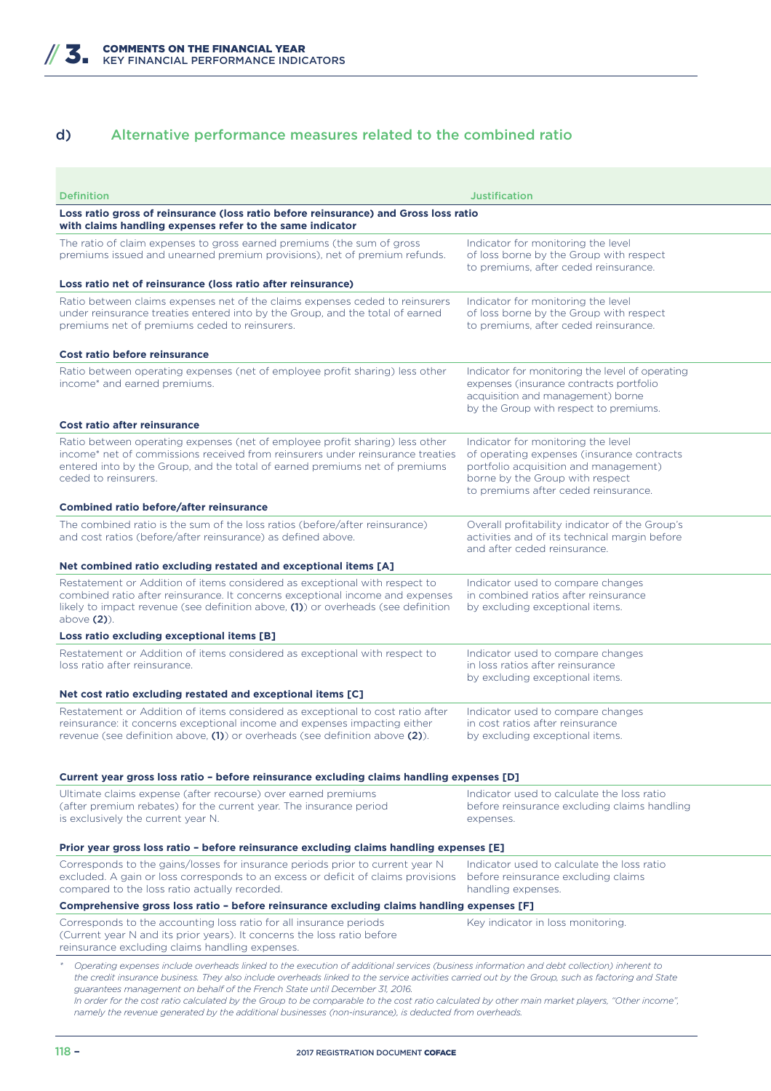### d) Alternative performance measures related to the combined ratio

| <b>Definition</b>                                                                                                                                                                                                                                                                                                                                                                                                                                                                                                                                                                                                                            | <b>Justification</b>                                                                                                                                                                                 |
|----------------------------------------------------------------------------------------------------------------------------------------------------------------------------------------------------------------------------------------------------------------------------------------------------------------------------------------------------------------------------------------------------------------------------------------------------------------------------------------------------------------------------------------------------------------------------------------------------------------------------------------------|------------------------------------------------------------------------------------------------------------------------------------------------------------------------------------------------------|
| Loss ratio gross of reinsurance (loss ratio before reinsurance) and Gross loss ratio<br>with claims handling expenses refer to the same indicator                                                                                                                                                                                                                                                                                                                                                                                                                                                                                            |                                                                                                                                                                                                      |
| The ratio of claim expenses to gross earned premiums (the sum of gross<br>premiums issued and unearned premium provisions), net of premium refunds.                                                                                                                                                                                                                                                                                                                                                                                                                                                                                          | Indicator for monitoring the level<br>of loss borne by the Group with respect<br>to premiums, after ceded reinsurance.                                                                               |
| Loss ratio net of reinsurance (loss ratio after reinsurance)                                                                                                                                                                                                                                                                                                                                                                                                                                                                                                                                                                                 |                                                                                                                                                                                                      |
| Ratio between claims expenses net of the claims expenses ceded to reinsurers<br>under reinsurance treaties entered into by the Group, and the total of earned<br>premiums net of premiums ceded to reinsurers.                                                                                                                                                                                                                                                                                                                                                                                                                               | Indicator for monitoring the level<br>of loss borne by the Group with respect<br>to premiums, after ceded reinsurance.                                                                               |
| Cost ratio before reinsurance                                                                                                                                                                                                                                                                                                                                                                                                                                                                                                                                                                                                                |                                                                                                                                                                                                      |
| Ratio between operating expenses (net of employee profit sharing) less other<br>income* and earned premiums.                                                                                                                                                                                                                                                                                                                                                                                                                                                                                                                                 | Indicator for monitoring the level of operating<br>expenses (insurance contracts portfolio<br>acquisition and management) borne<br>by the Group with respect to premiums.                            |
| Cost ratio after reinsurance                                                                                                                                                                                                                                                                                                                                                                                                                                                                                                                                                                                                                 |                                                                                                                                                                                                      |
| Ratio between operating expenses (net of employee profit sharing) less other<br>income* net of commissions received from reinsurers under reinsurance treaties<br>entered into by the Group, and the total of earned premiums net of premiums<br>ceded to reinsurers.                                                                                                                                                                                                                                                                                                                                                                        | Indicator for monitoring the level<br>of operating expenses (insurance contracts<br>portfolio acquisition and management)<br>borne by the Group with respect<br>to premiums after ceded reinsurance. |
| <b>Combined ratio before/after reinsurance</b>                                                                                                                                                                                                                                                                                                                                                                                                                                                                                                                                                                                               |                                                                                                                                                                                                      |
| The combined ratio is the sum of the loss ratios (before/after reinsurance)<br>and cost ratios (before/after reinsurance) as defined above.                                                                                                                                                                                                                                                                                                                                                                                                                                                                                                  | Overall profitability indicator of the Group's<br>activities and of its technical margin before<br>and after ceded reinsurance.                                                                      |
| Net combined ratio excluding restated and exceptional items [A]                                                                                                                                                                                                                                                                                                                                                                                                                                                                                                                                                                              |                                                                                                                                                                                                      |
| Restatement or Addition of items considered as exceptional with respect to<br>combined ratio after reinsurance. It concerns exceptional income and expenses<br>likely to impact revenue (see definition above, $(1)$ ) or overheads (see definition<br>above (2)).                                                                                                                                                                                                                                                                                                                                                                           | Indicator used to compare changes<br>in combined ratios after reinsurance<br>by excluding exceptional items.                                                                                         |
| Loss ratio excluding exceptional items [B]                                                                                                                                                                                                                                                                                                                                                                                                                                                                                                                                                                                                   |                                                                                                                                                                                                      |
| Restatement or Addition of items considered as exceptional with respect to<br>loss ratio after reinsurance.                                                                                                                                                                                                                                                                                                                                                                                                                                                                                                                                  | Indicator used to compare changes<br>in loss ratios after reinsurance<br>by excluding exceptional items.                                                                                             |
| Net cost ratio excluding restated and exceptional items [C]                                                                                                                                                                                                                                                                                                                                                                                                                                                                                                                                                                                  |                                                                                                                                                                                                      |
| Restatement or Addition of items considered as exceptional to cost ratio after<br>reinsurance: it concerns exceptional income and expenses impacting either<br>revenue (see definition above, $(1)$ ) or overheads (see definition above $(2)$ ).                                                                                                                                                                                                                                                                                                                                                                                            | Indicator used to compare changes<br>in cost ratios after reinsurance<br>by excluding exceptional items.                                                                                             |
| Current year gross loss ratio – before reinsurance excluding claims handling expenses [D]                                                                                                                                                                                                                                                                                                                                                                                                                                                                                                                                                    |                                                                                                                                                                                                      |
| Ultimate claims expense (after recourse) over earned premiums<br>(after premium rebates) for the current year. The insurance period<br>is exclusively the current year N.                                                                                                                                                                                                                                                                                                                                                                                                                                                                    | Indicator used to calculate the loss ratio<br>before reinsurance excluding claims handling<br>expenses.                                                                                              |
| Prior year gross loss ratio - before reinsurance excluding claims handling expenses [E]                                                                                                                                                                                                                                                                                                                                                                                                                                                                                                                                                      |                                                                                                                                                                                                      |
| Corresponds to the gains/losses for insurance periods prior to current year N<br>excluded. A gain or loss corresponds to an excess or deficit of claims provisions<br>compared to the loss ratio actually recorded.                                                                                                                                                                                                                                                                                                                                                                                                                          | Indicator used to calculate the loss ratio<br>before reinsurance excluding claims<br>handling expenses.                                                                                              |
| Comprehensive gross loss ratio - before reinsurance excluding claims handling expenses [F]                                                                                                                                                                                                                                                                                                                                                                                                                                                                                                                                                   |                                                                                                                                                                                                      |
| Corresponds to the accounting loss ratio for all insurance periods<br>(Current year N and its prior years). It concerns the loss ratio before<br>reinsurance excluding claims handling expenses.                                                                                                                                                                                                                                                                                                                                                                                                                                             | Key indicator in loss monitoring.                                                                                                                                                                    |
| Operating expenses include overheads linked to the execution of additional services (business information and debt collection) inherent to<br>the credit insurance business. They also include overheads linked to the service activities carried out by the Group, such as factoring and State<br>guarantees management on behalf of the French State until December 31, 2016.<br>In order for the cost ratio calculated by the Group to be comparable to the cost ratio calculated by other main market players, "Other income",<br>namely the revenue generated by the additional businesses (non-insurance), is deducted from overheads. |                                                                                                                                                                                                      |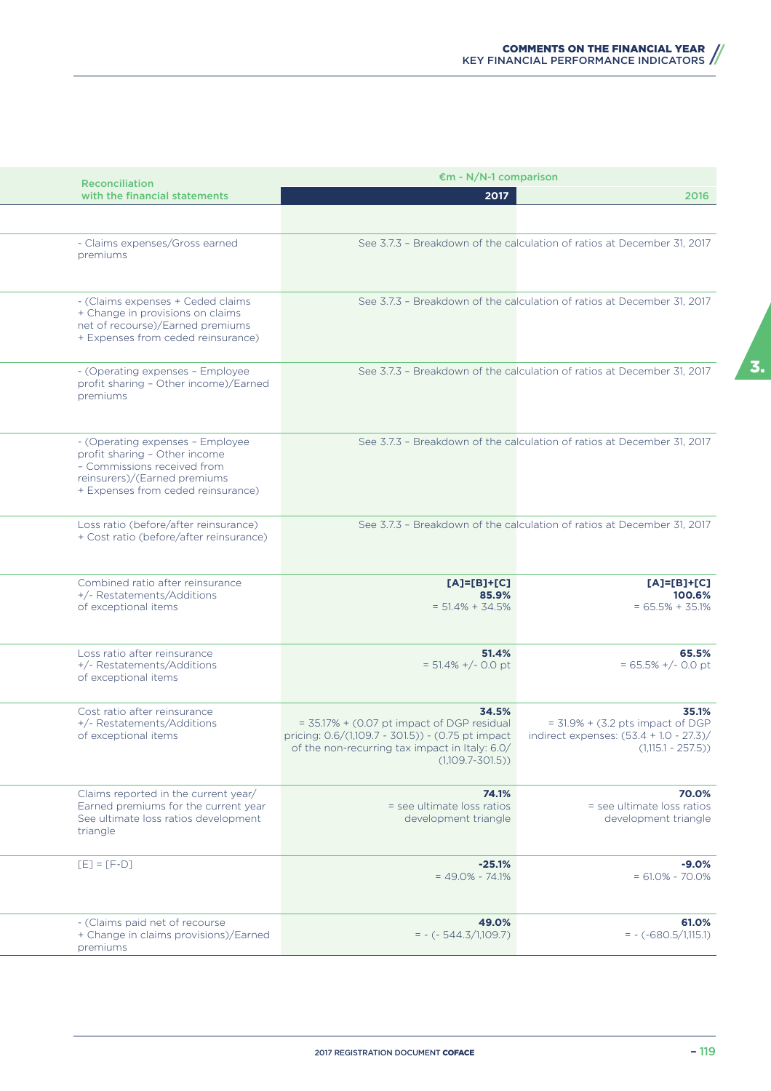| <b>Reconciliation</b>                                                                                                                                                  | $\epsilon$ m - N/N-1 comparison                                                                                                                                                      |                                                                                                                   |
|------------------------------------------------------------------------------------------------------------------------------------------------------------------------|--------------------------------------------------------------------------------------------------------------------------------------------------------------------------------------|-------------------------------------------------------------------------------------------------------------------|
| with the financial statements                                                                                                                                          | 2017                                                                                                                                                                                 | 2016                                                                                                              |
|                                                                                                                                                                        |                                                                                                                                                                                      |                                                                                                                   |
| - Claims expenses/Gross earned<br>premiums                                                                                                                             |                                                                                                                                                                                      | See 3.7.3 - Breakdown of the calculation of ratios at December 31, 2017                                           |
| - (Claims expenses + Ceded claims<br>+ Change in provisions on claims<br>net of recourse)/Earned premiums<br>+ Expenses from ceded reinsurance)                        |                                                                                                                                                                                      | See 3.7.3 - Breakdown of the calculation of ratios at December 31, 2017                                           |
| - (Operating expenses - Employee<br>profit sharing - Other income)/Earned<br>premiums                                                                                  |                                                                                                                                                                                      | See 3.7.3 - Breakdown of the calculation of ratios at December 31, 2017                                           |
| - (Operating expenses - Employee<br>profit sharing - Other income<br>- Commissions received from<br>reinsurers)/(Earned premiums<br>+ Expenses from ceded reinsurance) |                                                                                                                                                                                      | See 3.7.3 - Breakdown of the calculation of ratios at December 31, 2017                                           |
| Loss ratio (before/after reinsurance)<br>+ Cost ratio (before/after reinsurance)                                                                                       |                                                                                                                                                                                      | See 3.7.3 - Breakdown of the calculation of ratios at December 31, 2017                                           |
| Combined ratio after reinsurance<br>+/- Restatements/Additions<br>of exceptional items                                                                                 | $[A]=[B]+[C]$<br>85.9%<br>$= 51.4\% + 34.5\%$                                                                                                                                        | $[A]=[B]+[C]$<br>100.6%<br>$= 65.5% + 35.1%$                                                                      |
| Loss ratio after reinsurance<br>+/- Restatements/Additions<br>of exceptional items                                                                                     | 51.4%<br>$= 51.4\% +/- 0.0$ pt                                                                                                                                                       | 65.5%<br>$= 65.5\% +/- 0.0$ pt                                                                                    |
| Cost ratio after reinsurance<br>+/- Restatements/Additions<br>of exceptional items                                                                                     | 34.5%<br>$=$ 35.17% + (0.07 pt impact of DGP residual<br>pricing: 0.6/(1,109.7 - 301.5)) - (0.75 pt impact<br>of the non-recurring tax impact in Italy: 6.0/<br>$(1,109.7 - 301.5))$ | 35.1%<br>$=$ 31.9% + (3.2 pts impact of DGP<br>indirect expenses: $(53.4 + 1.0 - 27.3)$ /<br>$(1,115.1 - 257.5))$ |
| Claims reported in the current year/<br>Earned premiums for the current year<br>See ultimate loss ratios development<br>triangle                                       | 74.1%<br>= see ultimate loss ratios<br>development triangle                                                                                                                          | 70.0%<br>= see ultimate loss ratios<br>development triangle                                                       |
| $[E] = [F-D]$                                                                                                                                                          | $-25.1%$<br>$= 49.0\% - 74.1\%$                                                                                                                                                      | $-9.0%$<br>$= 61.0\% - 70.0\%$                                                                                    |
| - (Claims paid net of recourse<br>+ Change in claims provisions)/Earned<br>premiums                                                                                    | 49.0%<br>$= - (-544.3/1,109.7)$                                                                                                                                                      | 61.0%<br>$= - (-680.5/1,115.1)$                                                                                   |

3.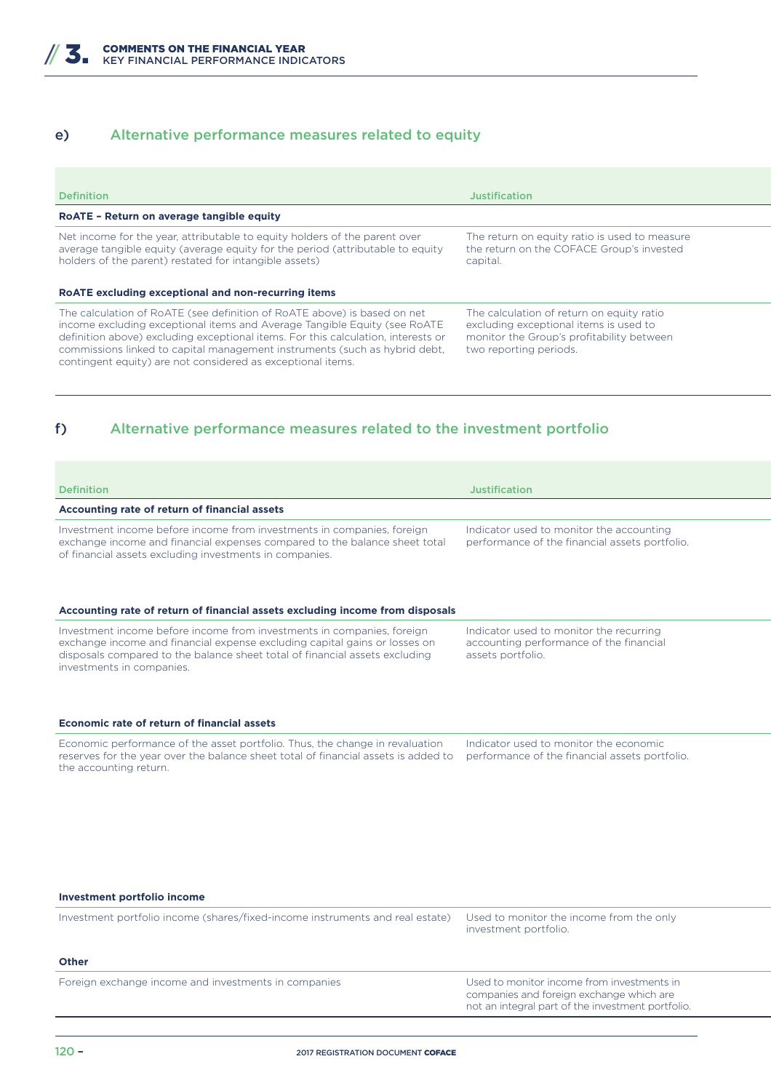### e) Alternative performance measures related to equity

| <b>Definition</b>                                                                                                                                                                                                                                                                                                                                                                       | <b>Justification</b>                                                                                                                                       |
|-----------------------------------------------------------------------------------------------------------------------------------------------------------------------------------------------------------------------------------------------------------------------------------------------------------------------------------------------------------------------------------------|------------------------------------------------------------------------------------------------------------------------------------------------------------|
| RoATE - Return on average tangible equity                                                                                                                                                                                                                                                                                                                                               |                                                                                                                                                            |
| Net income for the year, attributable to equity holders of the parent over<br>average tangible equity (average equity for the period (attributable to equity<br>holders of the parent) restated for intangible assets)                                                                                                                                                                  | The return on equity ratio is used to measure<br>the return on the COFACE Group's invested<br>capital.                                                     |
| RoATE excluding exceptional and non-recurring items                                                                                                                                                                                                                                                                                                                                     |                                                                                                                                                            |
| The calculation of RoATE (see definition of RoATE above) is based on net<br>income excluding exceptional items and Average Tangible Equity (see RoATE<br>definition above) excluding exceptional items. For this calculation, interests or<br>commissions linked to capital management instruments (such as hybrid debt,<br>contingent equity) are not considered as exceptional items. | The calculation of return on equity ratio<br>excluding exceptional items is used to<br>monitor the Group's profitability between<br>two reporting periods. |

### f) Alternative performance measures related to the investment portfolio

| <b>Definition</b>                                                                                                                                                                                                                                                | Justification                                                                                           |
|------------------------------------------------------------------------------------------------------------------------------------------------------------------------------------------------------------------------------------------------------------------|---------------------------------------------------------------------------------------------------------|
| Accounting rate of return of financial assets                                                                                                                                                                                                                    |                                                                                                         |
| Investment income before income from investments in companies, foreign<br>exchange income and financial expenses compared to the balance sheet total<br>of financial assets excluding investments in companies.                                                  | Indicator used to monitor the accounting<br>performance of the financial assets portfolio.              |
| Accounting rate of return of financial assets excluding income from disposals                                                                                                                                                                                    |                                                                                                         |
| Investment income before income from investments in companies, foreign<br>exchange income and financial expense excluding capital gains or losses on<br>disposals compared to the balance sheet total of financial assets excluding<br>investments in companies. | Indicator used to monitor the recurring<br>accounting performance of the financial<br>assets portfolio. |
| Economic rate of return of financial assets                                                                                                                                                                                                                      |                                                                                                         |
| Economic performance of the asset portfolio. Thus, the change in revaluation<br>reserves for the year over the balance sheet total of financial assets is added to<br>the accounting return.                                                                     | Indicator used to monitor the economic<br>performance of the financial assets portfolio.                |

#### **Investment portfolio income**

| Investment portfolio income (shares/fixed-income instruments and real estate) Used to monitor the income from the only | investment portfolio. |
|------------------------------------------------------------------------------------------------------------------------|-----------------------|
|                                                                                                                        |                       |

#### **Other**

Foreign exchange income and investments in companies Used to monitor income from investments in

companies and foreign exchange which are not an integral part of the investment portfolio.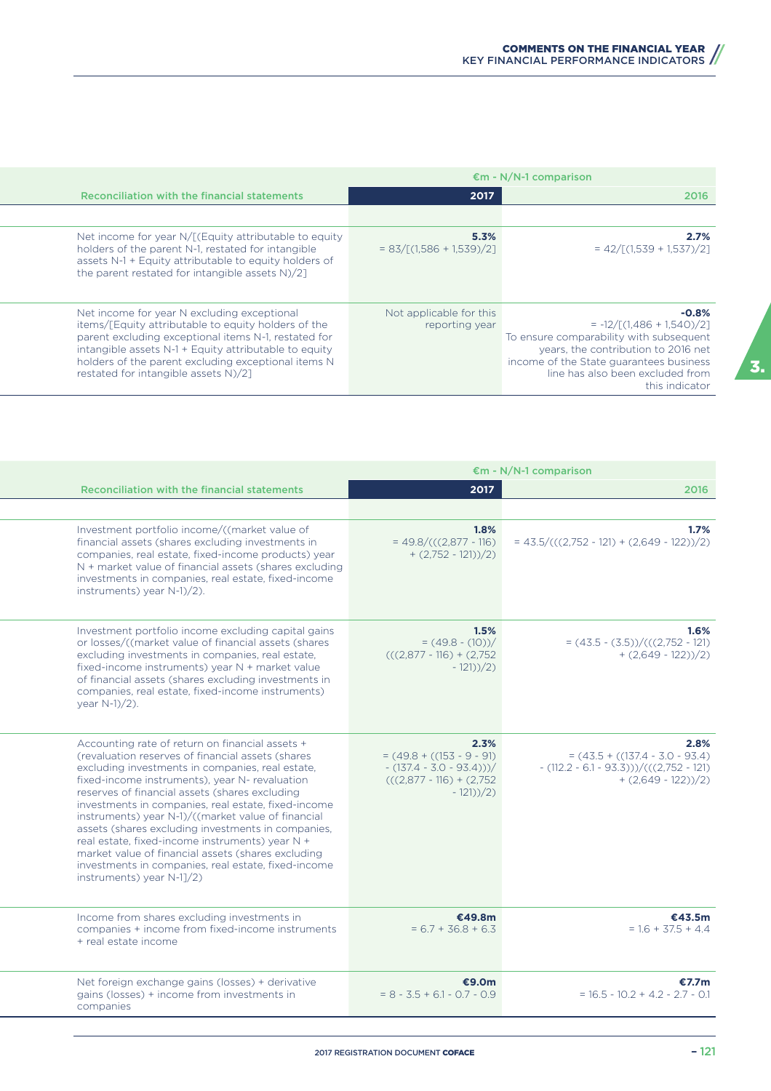|                                                                                                                                                                                                                                                                                                                    | $\epsilon$ m - N/N-1 comparison           |                                                                                                                                                                                                                           |
|--------------------------------------------------------------------------------------------------------------------------------------------------------------------------------------------------------------------------------------------------------------------------------------------------------------------|-------------------------------------------|---------------------------------------------------------------------------------------------------------------------------------------------------------------------------------------------------------------------------|
| Reconciliation with the financial statements                                                                                                                                                                                                                                                                       | 2017                                      | 2016                                                                                                                                                                                                                      |
|                                                                                                                                                                                                                                                                                                                    |                                           |                                                                                                                                                                                                                           |
| Net income for year N/[(Equity attributable to equity<br>holders of the parent N-1, restated for intangible<br>assets N-1 + Equity attributable to equity holders of<br>the parent restated for intangible assets N)/2]                                                                                            | 5.3%<br>$= 83/[(1.586 + 1.539)/2]$        | 2.7%<br>$= 42/[(1.539 + 1.537)/2]$                                                                                                                                                                                        |
| Net income for year N excluding exceptional<br>items/[Equity attributable to equity holders of the<br>parent excluding exceptional items N-1, restated for<br>intangible assets N-1 + Equity attributable to equity<br>holders of the parent excluding exceptional items N<br>restated for intangible assets N)/2] | Not applicable for this<br>reporting year | $-0.8%$<br>$= -12/[(1,486 + 1,540)/2]$<br>To ensure comparability with subsequent<br>years, the contribution to 2016 net<br>income of the State quarantees business<br>line has also been excluded from<br>this indicator |

|                                                                                                                                                                                                                                                                                                                                                                                                                                                                                                                                                                                                                               |                                                                                                              | $\epsilon$ m - N/N-1 comparison                                                                                   |
|-------------------------------------------------------------------------------------------------------------------------------------------------------------------------------------------------------------------------------------------------------------------------------------------------------------------------------------------------------------------------------------------------------------------------------------------------------------------------------------------------------------------------------------------------------------------------------------------------------------------------------|--------------------------------------------------------------------------------------------------------------|-------------------------------------------------------------------------------------------------------------------|
| <b>Reconciliation with the financial statements</b>                                                                                                                                                                                                                                                                                                                                                                                                                                                                                                                                                                           | 2017                                                                                                         | 2016                                                                                                              |
|                                                                                                                                                                                                                                                                                                                                                                                                                                                                                                                                                                                                                               |                                                                                                              |                                                                                                                   |
| Investment portfolio income/((market value of<br>financial assets (shares excluding investments in<br>companies, real estate, fixed-income products) year<br>N + market value of financial assets (shares excluding<br>investments in companies, real estate, fixed-income<br>instruments) year N-1)/2).                                                                                                                                                                                                                                                                                                                      | 1.8%<br>$= 49.8/(((2.877 - 116))$<br>$+ (2,752 - 121))/2$                                                    | 1.7%<br>$= 43.5/(((2,752 - 121) + (2,649 - 122))/2)$                                                              |
| Investment portfolio income excluding capital gains<br>or losses/((market value of financial assets (shares<br>excluding investments in companies, real estate,<br>fixed-income instruments) year N + market value<br>of financial assets (shares excluding investments in<br>companies, real estate, fixed-income instruments)<br>year N-1)/2).                                                                                                                                                                                                                                                                              | 1.5%<br>$=(49.8 - (10))/$<br>$(((2,877 - 116) + (2,752$<br>$-121$ ) $/2$ )                                   | 1.6%<br>$=(43.5 - (3.5)) / (((2.752 - 121))$<br>$+ (2,649 - 122))/2$                                              |
| Accounting rate of return on financial assets +<br>(revaluation reserves of financial assets (shares)<br>excluding investments in companies, real estate,<br>fixed-income instruments), year N- revaluation<br>reserves of financial assets (shares excluding<br>investments in companies, real estate, fixed-income<br>instruments) year N-1)/((market value of financial<br>assets (shares excluding investments in companies,<br>real estate, fixed-income instruments) year N +<br>market value of financial assets (shares excluding<br>investments in companies, real estate, fixed-income<br>instruments) year N-11/2) | 2.3%<br>$= (49.8 + ((153 - 9 - 9))$<br>$-(137.4 - 3.0 - 93.4))$<br>$(((2,877 - 116) + (2,752$<br>$-121$ )/2) | 2.8%<br>$= (43.5 + ((137.4 - 3.0 - 93.4))$<br>$-(112.2 - 6.1 - 93.3)) / (((2.752 - 121))$<br>$+ (2,649 - 122))/2$ |
| Income from shares excluding investments in<br>companies + income from fixed-income instruments<br>+ real estate income                                                                                                                                                                                                                                                                                                                                                                                                                                                                                                       | €49.8m<br>$= 6.7 + 36.8 + 6.3$                                                                               | €43.5m<br>$= 1.6 + 37.5 + 4.4$                                                                                    |
| Net foreign exchange gains (losses) + derivative<br>gains (losses) + income from investments in<br>companies                                                                                                                                                                                                                                                                                                                                                                                                                                                                                                                  | €9.0m<br>$= 8 - 3.5 + 6.1 - 0.7 - 0.9$                                                                       | €7.7m<br>$= 16.5 - 10.2 + 4.2 - 2.7 - 0.1$                                                                        |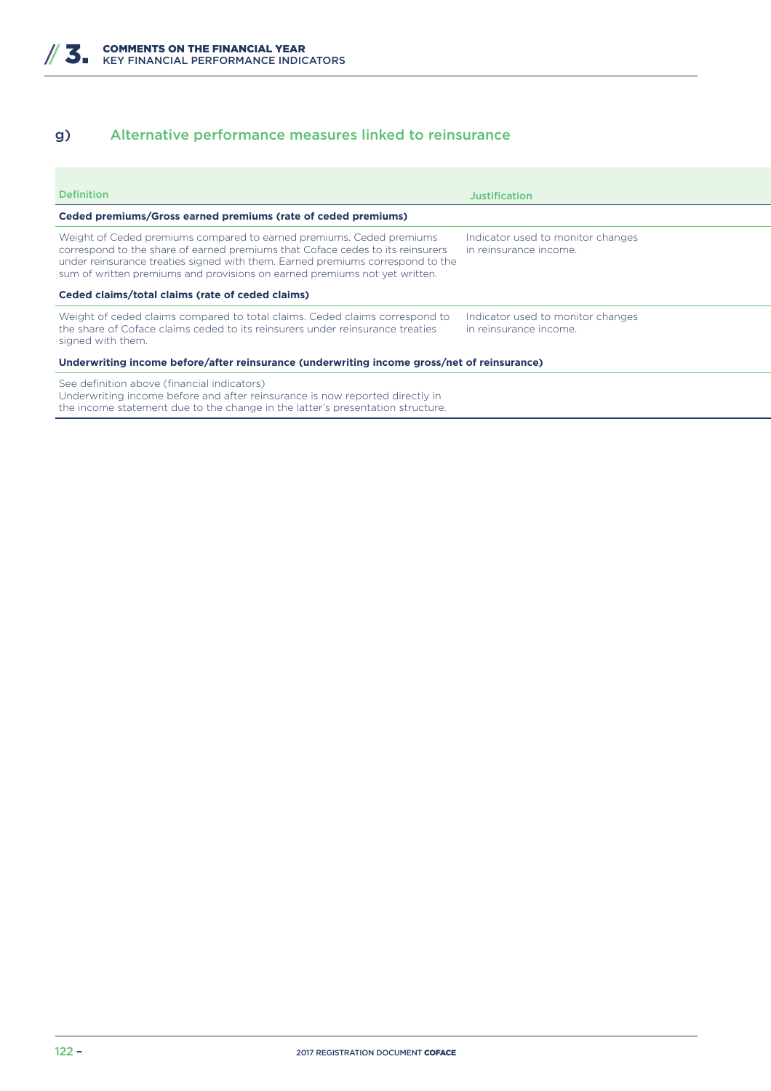### g) Alternative performance measures linked to reinsurance

| <b>Definition</b>                                                                                                                                                                                                                                                                                                      | Justification                                               |  |  |
|------------------------------------------------------------------------------------------------------------------------------------------------------------------------------------------------------------------------------------------------------------------------------------------------------------------------|-------------------------------------------------------------|--|--|
| Ceded premiums/Gross earned premiums (rate of ceded premiums)                                                                                                                                                                                                                                                          |                                                             |  |  |
| Weight of Ceded premiums compared to earned premiums. Ceded premiums<br>correspond to the share of earned premiums that Coface cedes to its reinsurers<br>under reinsurance treaties signed with them. Earned premiums correspond to the<br>sum of written premiums and provisions on earned premiums not yet written. | Indicator used to monitor changes<br>in reinsurance income. |  |  |
| Ceded claims/total claims (rate of ceded claims)                                                                                                                                                                                                                                                                       |                                                             |  |  |
| Weight of ceded claims compared to total claims. Ceded claims correspond to<br>the share of Coface claims ceded to its reinsurers under reinsurance treaties<br>signed with them.                                                                                                                                      | Indicator used to monitor changes<br>in reinsurance income. |  |  |
| Underwriting income before/after reinsurance (underwriting income gross/net of reinsurance)                                                                                                                                                                                                                            |                                                             |  |  |
| See definition above (financial indicators)<br>Underwriting income before and after reinsurance is now reported directly in                                                                                                                                                                                            |                                                             |  |  |

the income statement due to the change in the latter's presentation structure.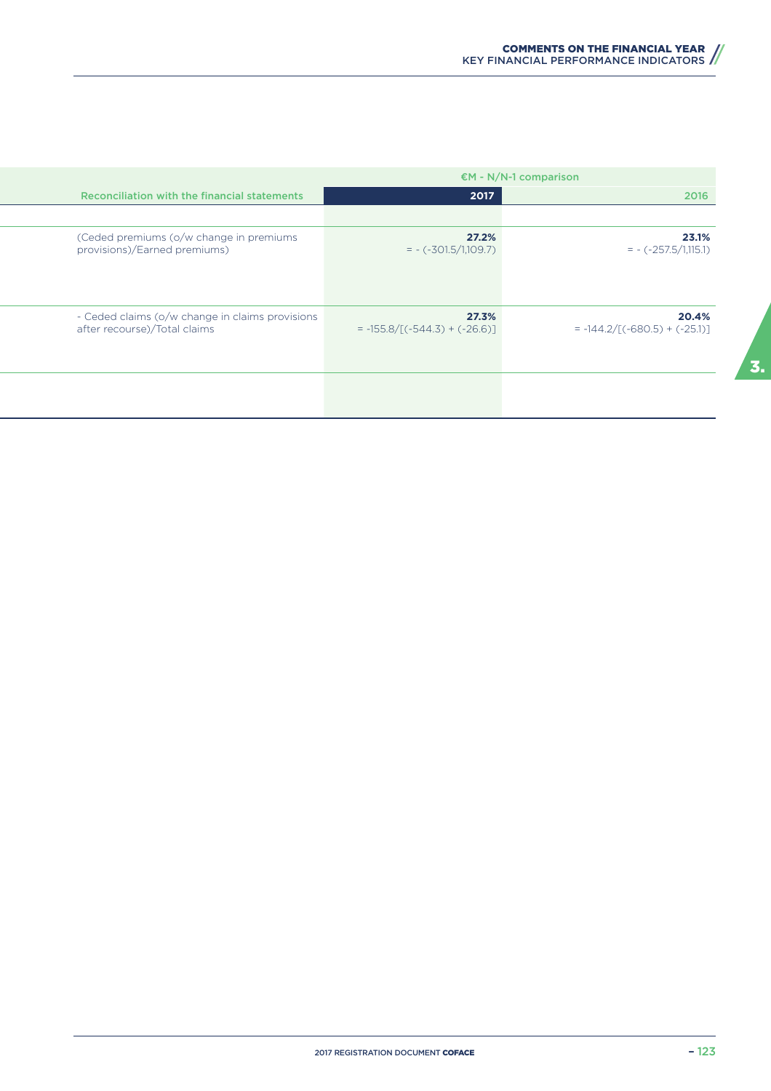|                                                                                 | $EM - N/N-1$ comparison                  |                                          |
|---------------------------------------------------------------------------------|------------------------------------------|------------------------------------------|
| <b>Reconciliation with the financial statements</b>                             | 2017                                     | 2016                                     |
|                                                                                 |                                          |                                          |
| (Ceded premiums (o/w change in premiums<br>provisions)/Earned premiums)         | 27.2%<br>$= - (-301.5/1,109.7)$          | 23.1%<br>$= -(-257.5/1,115.1)$           |
| - Ceded claims (o/w change in claims provisions<br>after recourse)/Total claims | 27.3%<br>$= -155.8/[(-544.3) + (-26.6)]$ | 20.4%<br>$= -144.2/[(-680.5) + (-25.1)]$ |
|                                                                                 |                                          |                                          |

 $\overline{a}$